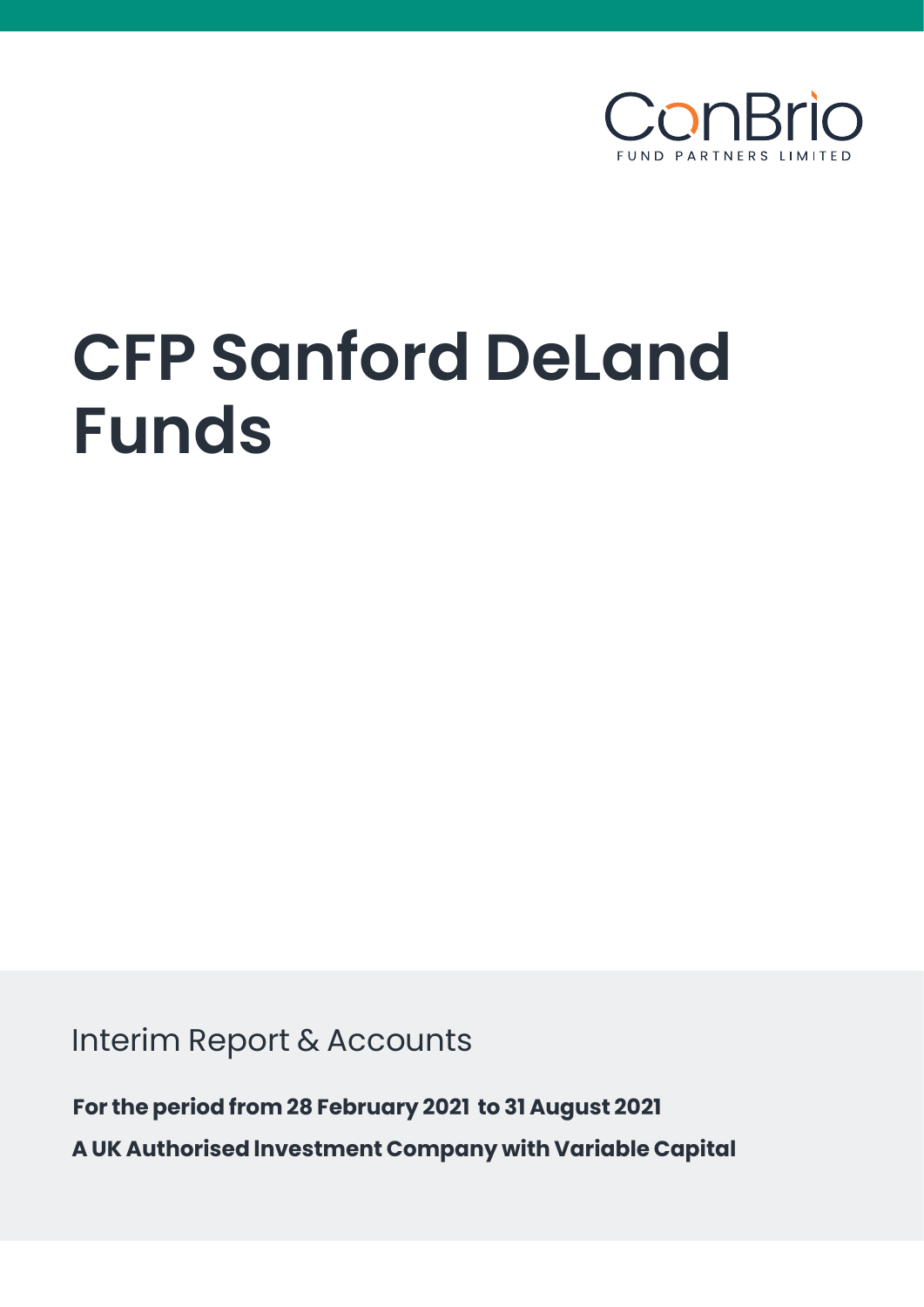

# **CFP Sanford DeLand Funds**

Interim Report & Accounts

**For the period from 28 February 2021 to 31 August 2021 A UK Authorised lnvestment Company with Variable Capital**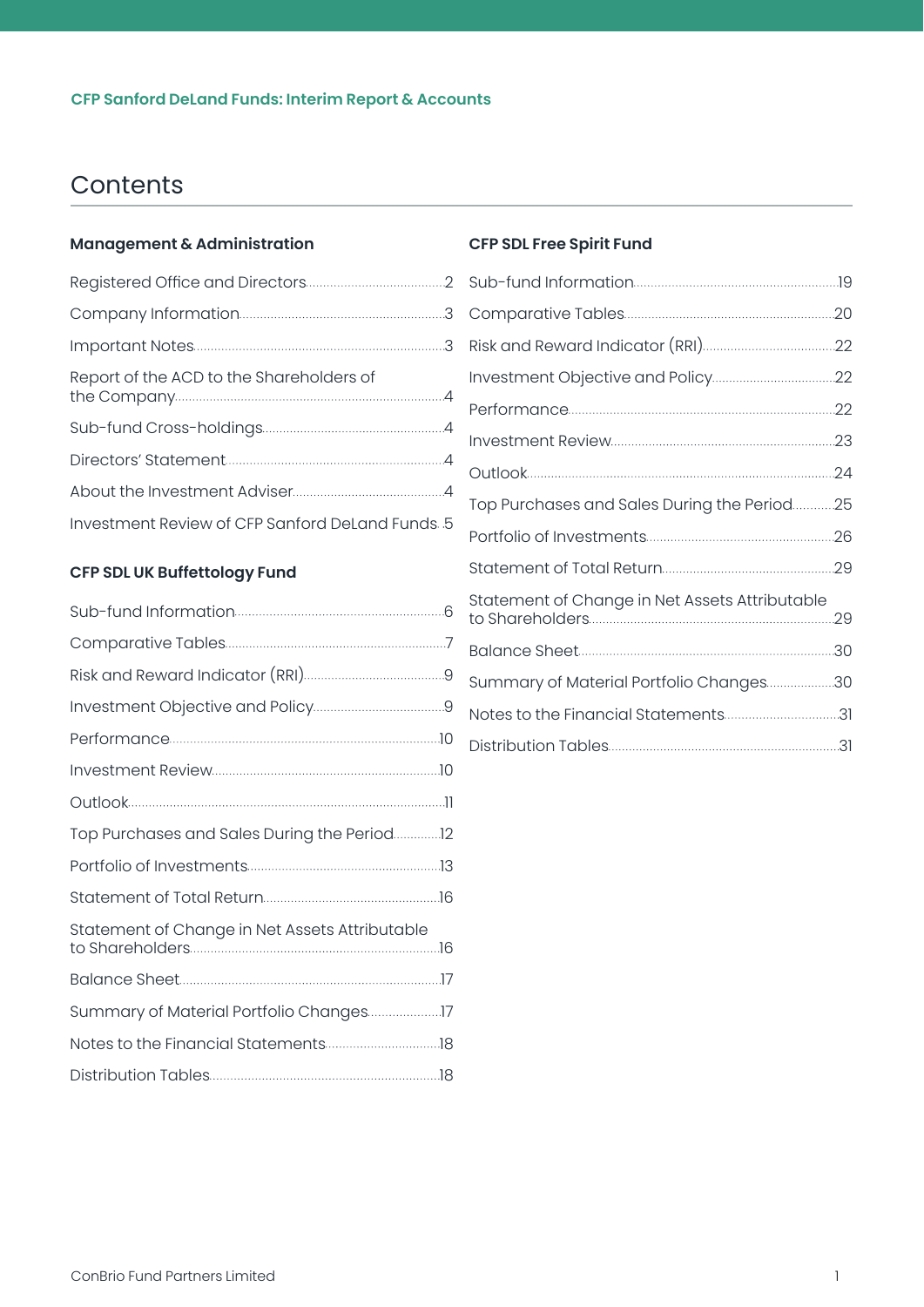# **Contents**

#### **[Management & Administration](#page-2-0)**

| Report of the ACD to the Shareholders of        |
|-------------------------------------------------|
|                                                 |
|                                                 |
|                                                 |
| Investment Review of CFP Sanford DeLand Funds 5 |

### **[CFP SDL UK Buffettology Fund](#page-6-0)**

| Top Purchases and Sales During the Period12 |
|---------------------------------------------|
|                                             |
|                                             |
|                                             |
|                                             |
|                                             |
|                                             |
|                                             |
|                                             |

#### **[CFP SDL Free Spirit Fund](#page-19-0)**

| Top Purchases and Sales During the Period25    |  |
|------------------------------------------------|--|
|                                                |  |
|                                                |  |
| Statement of Change in Net Assets Attributable |  |
|                                                |  |
| Summary of Material Portfolio Changes30        |  |
| Notes to the Financial Statements31            |  |
|                                                |  |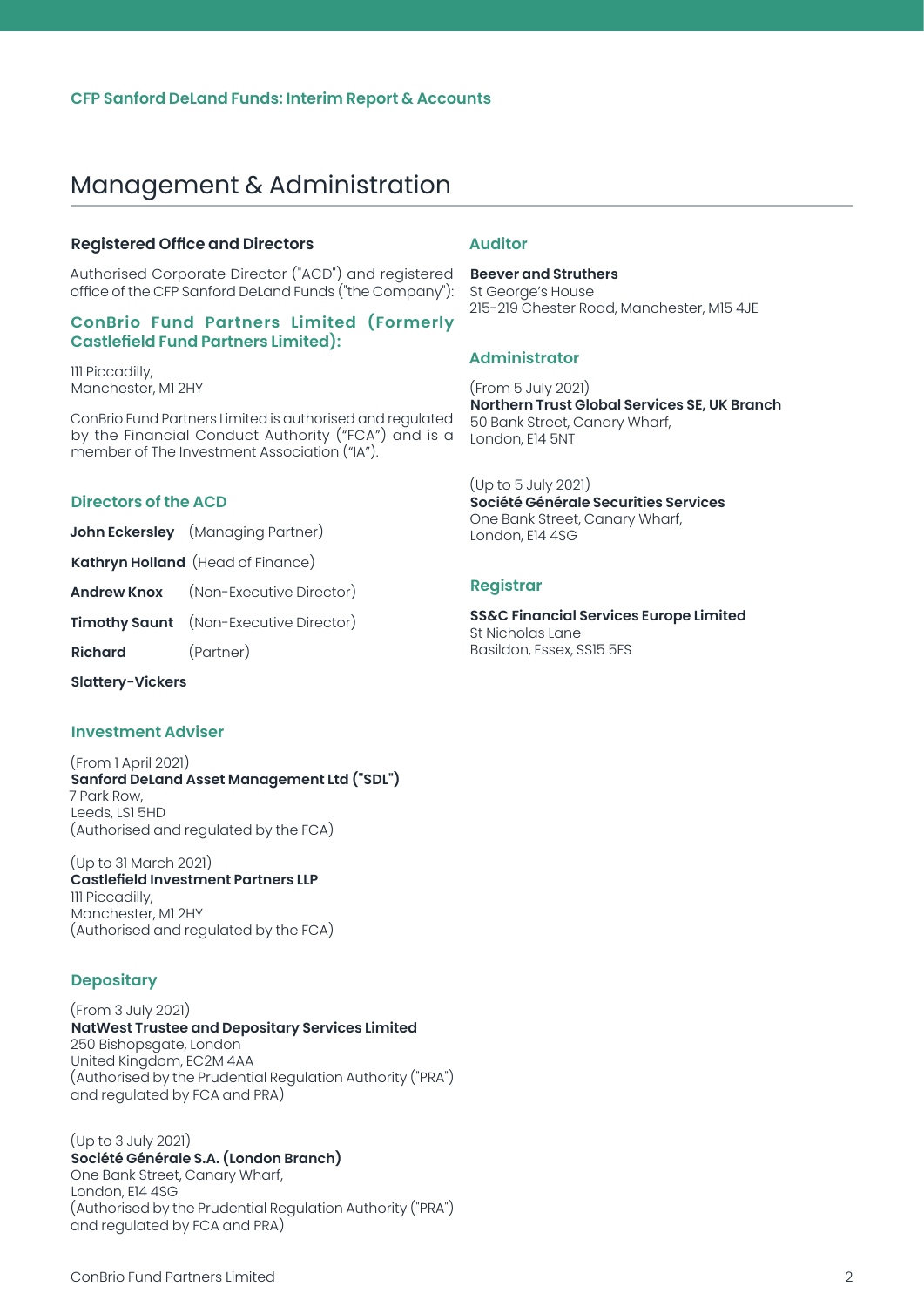#### <span id="page-2-0"></span>**Registered Office and Directors**

Authorised Corporate Director ("ACD") and registered office of the CFP Sanford DeLand Funds ("the Company"):

#### **ConBrio Fund Partners Limited (Formerly Castlefield Fund Partners Limited):**

111 Piccadilly, Manchester, M1 2HY

ConBrio Fund Partners Limited is authorised and regulated by the Financial Conduct Authority ("FCA") and is a member of The Investment Association ("IA").

#### **Directors of the ACD**

- **John Eckersley** (Managing Partner)
- **Kathryn Holland** (Head of Finance)
- **Andrew Knox** (Non-Executive Director)
- **Timothy Saunt** (Non-Executive Director)

**Richard** (Partner)

**Slattery-Vickers**

#### **Investment Adviser**

#### (From 1 April 2021) **Sanford DeLand Asset Management Ltd ("SDL")** 7 Park Row, Leeds, LS1 5HD (Authorised and regulated by the FCA)

(Up to 31 March 2021) **Castlefield Investment Partners LLP** 111 Piccadilly, Manchester, M1 2HY (Authorised and regulated by the FCA)

#### **Depositary**

#### (From 3 July 2021) **NatWest Trustee and Depositary Services Limited** 250 Bishopsgate, London United Kingdom, EC2M 4AA (Authorised by the Prudential Regulation Authority ("PRA") and regulated by FCA and PRA)

#### (Up to 3 July 2021)

**Société Générale S.A. (London Branch)** One Bank Street, Canary Wharf, London, E14 4SG (Authorised by the Prudential Regulation Authority ("PRA") and regulated by FCA and PRA)

#### **Auditor**

**Beever and Struthers** St George's House 215-219 Chester Road, Manchester, M15 4JE

#### **Administrator**

(From 5 July 2021) **Northern Trust Global Services SE, UK Branch** 50 Bank Street, Canary Wharf, London, E14 5NT

(Up to 5 July 2021) **Société Générale Securities Services**  One Bank Street, Canary Wharf, London, E14 4SG

#### **Registrar**

**SS&C Financial Services Europe Limited** St Nicholas Lane Basildon, Essex, SS15 5FS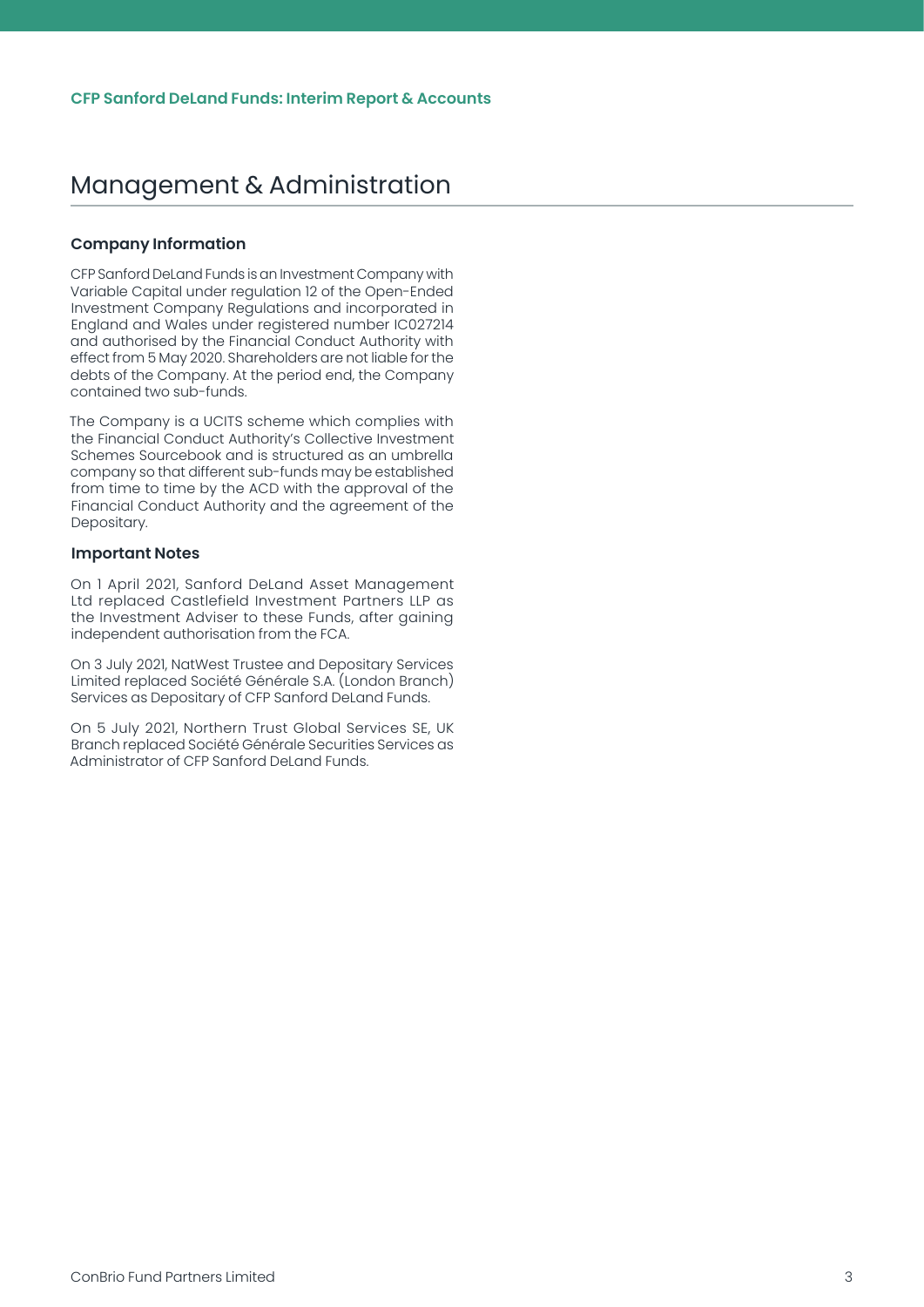#### <span id="page-3-0"></span>**Company Information**

CFP Sanford DeLand Funds is an Investment Company with Variable Capital under regulation 12 of the Open-Ended Investment Company Regulations and incorporated in England and Wales under registered number IC027214 and authorised by the Financial Conduct Authority with effect from 5 May 2020. Shareholders are not liable for the debts of the Company. At the period end, the Company contained two sub-funds.

The Company is a UCITS scheme which complies with the Financial Conduct Authority's Collective Investment Schemes Sourcebook and is structured as an umbrella company so that different sub-funds may be established from time to time by the ACD with the approval of the Financial Conduct Authority and the agreement of the Depositary.

#### **Important Notes**

On 1 April 2021, Sanford DeLand Asset Management Ltd replaced Castlefield Investment Partners LLP as the Investment Adviser to these Funds, after gaining independent authorisation from the FCA.

On 3 July 2021, NatWest Trustee and Depositary Services Limited replaced Société Générale S.A. (London Branch) Services as Depositary of CFP Sanford DeLand Funds.

On 5 July 2021, Northern Trust Global Services SE, UK Branch replaced Société Générale Securities Services as Administrator of CFP Sanford DeLand Funds.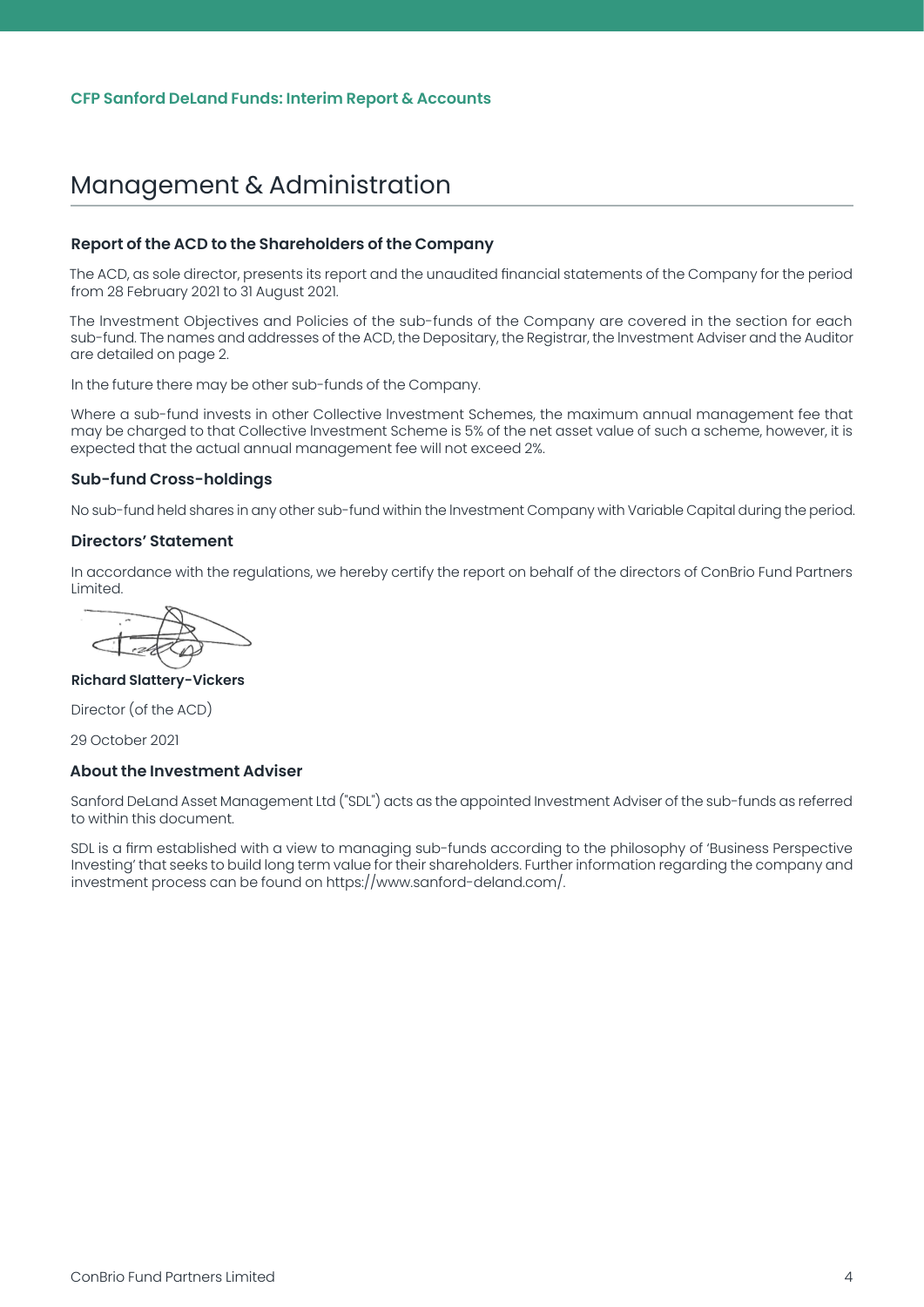#### <span id="page-4-0"></span>**Report of the ACD to the Shareholders of the Company**

The ACD, as sole director, presents its report and the unaudited financial statements of the Company for the period from 28 February 2021 to 31 August 2021.

The lnvestment Objectives and Policies of the sub-funds of the Company are covered in the section for each sub-fund. The names and addresses of the ACD, the Depositary, the Registrar, the lnvestment Adviser and the Auditor are detailed on page 2.

ln the future there may be other sub-funds of the Company.

Where a sub-fund invests in other Collective lnvestment Schemes, the maximum annual management fee that may be charged to that Collective lnvestment Scheme is 5% of the net asset value of such a scheme, however, it is expected that the actual annual management fee will not exceed 2%.

#### **Sub-fund Cross-holdings**

No sub-fund held shares in any other sub-fund within the lnvestment Company with Variable Capital during the period.

#### **Directors' Statement**

In accordance with the regulations, we hereby certify the report on behalf of the directors of ConBrio Fund Partners Limited.

#### **Richard Slattery-Vickers**

Director (of the ACD)

29 October 2021

#### **About the Investment Adviser**

Sanford DeLand Asset Management Ltd ("SDL") acts as the appointed Investment Adviser of the sub-funds as referred to within this document.

SDL is a firm established with a view to managing sub-funds according to the philosophy of 'Business Perspective Investing' that seeks to build long term value for their shareholders. Further information regarding the company and investment process can be found on https://www.sanford-deland.com/.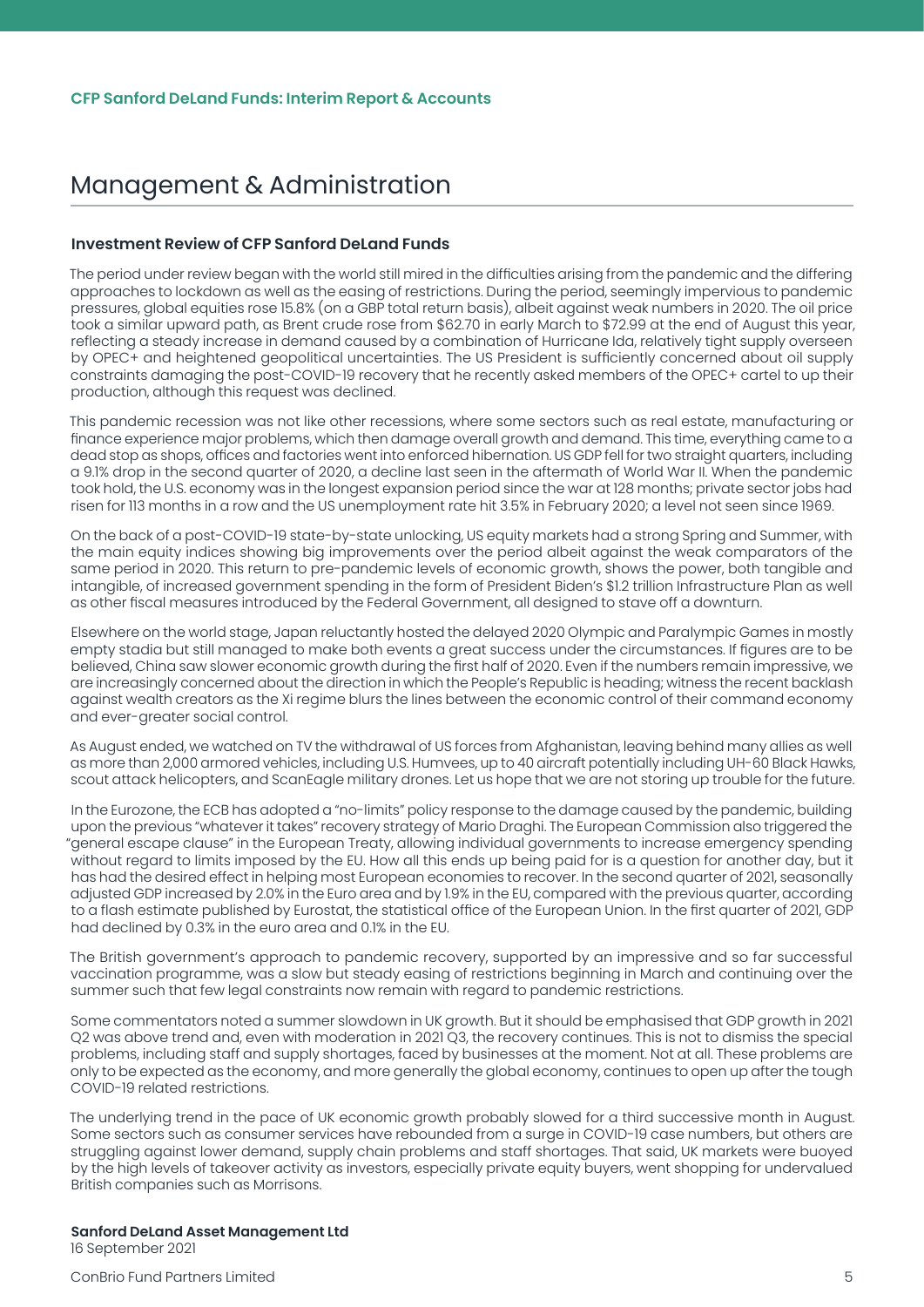#### <span id="page-5-0"></span>**Investment Review of CFP Sanford DeLand Funds**

The period under review began with the world still mired in the difficulties arising from the pandemic and the differing approaches to lockdown as well as the easing of restrictions. During the period, seemingly impervious to pandemic pressures, global equities rose 15.8% (on a GBP total return basis), albeit against weak numbers in 2020. The oil price took a similar upward path, as Brent crude rose from \$62.70 in early March to \$72.99 at the end of August this year, reflecting a steady increase in demand caused by a combination of Hurricane Ida, relatively tight supply overseen by OPEC+ and heightened geopolitical uncertainties. The US President is sufficiently concerned about oil supply constraints damaging the post-COVID-19 recovery that he recently asked members of the OPEC+ cartel to up their production, although this request was declined.

This pandemic recession was not like other recessions, where some sectors such as real estate, manufacturing or finance experience major problems, which then damage overall growth and demand. This time, everything came to a dead stop as shops, offices and factories went into enforced hibernation. US GDP fell for two straight quarters, including a 9.1% drop in the second quarter of 2020, a decline last seen in the aftermath of World War II. When the pandemic took hold, the U.S. economy was in the longest expansion period since the war at 128 months; private sector jobs had risen for 113 months in a row and the US unemployment rate hit 3.5% in February 2020; a level not seen since 1969.

On the back of a post-COVID-19 state-by-state unlocking, US equity markets had a strong Spring and Summer, with the main equity indices showing big improvements over the period albeit against the weak comparators of the same period in 2020. This return to pre-pandemic levels of economic growth, shows the power, both tangible and intangible, of increased government spending in the form of President Biden's \$1.2 trillion Infrastructure Plan as well as other fiscal measures introduced by the Federal Government, all designed to stave off a downturn.

Elsewhere on the world stage, Japan reluctantly hosted the delayed 2020 Olympic and Paralympic Games in mostly empty stadia but still managed to make both events a great success under the circumstances. If figures are to be believed, China saw slower economic growth during the first half of 2020. Even if the numbers remain impressive, we are increasingly concerned about the direction in which the People's Republic is heading; witness the recent backlash against wealth creators as the Xi regime blurs the lines between the economic control of their command economy and ever-greater social control.

As August ended, we watched on TV the withdrawal of US forces from Afghanistan, leaving behind many allies as well as more than 2,000 armored vehicles, including U.S. Humvees, up to 40 aircraft potentially including UH-60 Black Hawks, scout attack helicopters, and ScanEagle military drones. Let us hope that we are not storing up trouble for the future.

In the Eurozone, the ECB has adopted a "no-limits" policy response to the damage caused by the pandemic, building upon the previous "whatever it takes" recovery strategy of Mario Draghi. The European Commission also triggered the "general escape clause" in the European Treaty, allowing individual governments to increase emergency spending without regard to limits imposed by the EU. How all this ends up being paid for is a question for another day, but it has had the desired effect in helping most European economies to recover. In the second quarter of 2021, seasonally adjusted GDP increased by 2.0% in the Euro area and by 1.9% in the EU, compared with the previous quarter, according to a flash estimate published by Eurostat, the statistical office of the European Union. In the first quarter of 2021, GDP had declined by 0.3% in the euro area and 0.1% in the EU.

The British government's approach to pandemic recovery, supported by an impressive and so far successful vaccination programme, was a slow but steady easing of restrictions beginning in March and continuing over the summer such that few legal constraints now remain with regard to pandemic restrictions.

Some commentators noted a summer slowdown in UK growth. But it should be emphasised that GDP growth in 2021 Q2 was above trend and, even with moderation in 2021 Q3, the recovery continues. This is not to dismiss the special problems, including staff and supply shortages, faced by businesses at the moment. Not at all. These problems are only to be expected as the economy, and more generally the global economy, continues to open up after the tough COVID-19 related restrictions.

The underlying trend in the pace of UK economic growth probably slowed for a third successive month in August. Some sectors such as consumer services have rebounded from a surge in COVID-19 case numbers, but others are struggling against lower demand, supply chain problems and staff shortages. That said, UK markets were buoyed by the high levels of takeover activity as investors, especially private equity buyers, went shopping for undervalued British companies such as Morrisons.

**Sanford DeLand Asset Management Ltd** 16 September 2021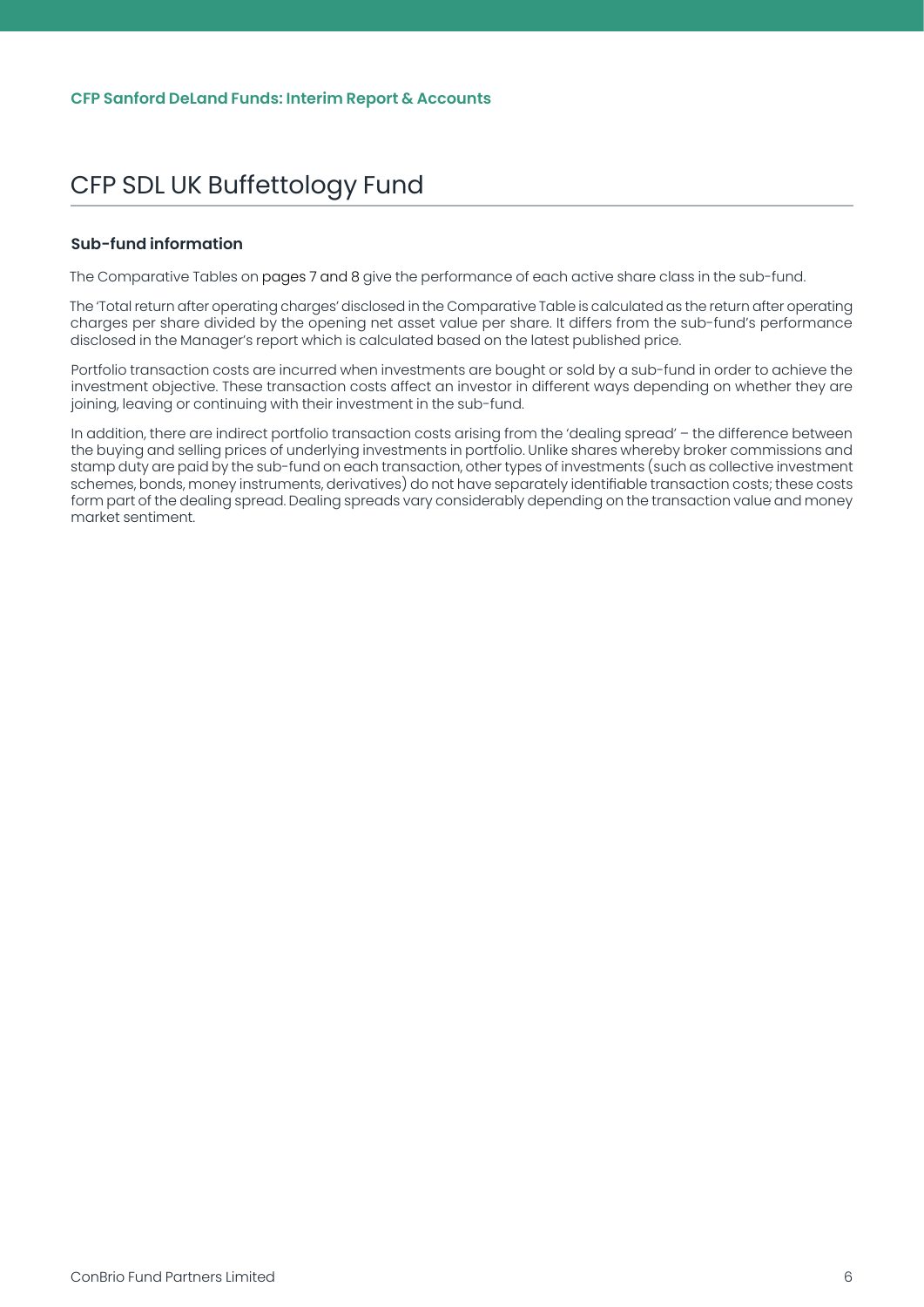#### <span id="page-6-0"></span>**Sub-fund information**

The Comparative Tables on pages 7 and 8 give the performance of each active share class in the sub-fund.

The 'Total return after operating charges' disclosed in the Comparative Table is calculated as the return after operating charges per share divided by the opening net asset value per share. It differs from the sub-fund's performance disclosed in the Manager's report which is calculated based on the latest published price.

Portfolio transaction costs are incurred when investments are bought or sold by a sub-fund in order to achieve the investment objective. These transaction costs affect an investor in different ways depending on whether they are joining, leaving or continuing with their investment in the sub-fund.

In addition, there are indirect portfolio transaction costs arising from the 'dealing spread' – the difference between the buying and selling prices of underlying investments in portfolio. Unlike shares whereby broker commissions and stamp duty are paid by the sub-fund on each transaction, other types of investments (such as collective investment schemes, bonds, money instruments, derivatives) do not have separately identifiable transaction costs; these costs form part of the dealing spread. Dealing spreads vary considerably depending on the transaction value and money market sentiment.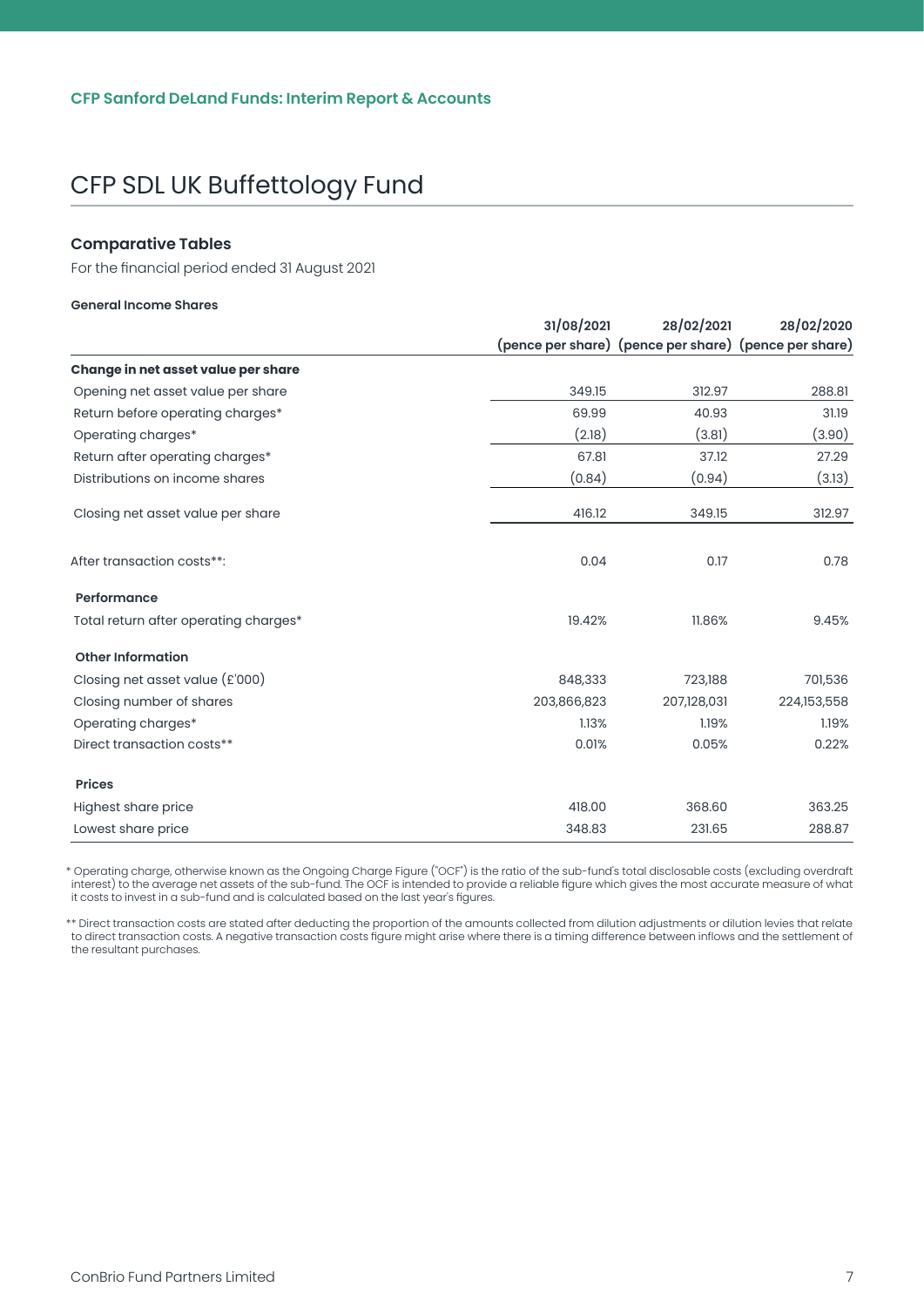#### <span id="page-7-0"></span>**Comparative Tables**

For the financial period ended 31 August 2021

#### **General Income Shares**

|                                       | 31/08/2021  | 28/02/2021                                            | 28/02/2020  |
|---------------------------------------|-------------|-------------------------------------------------------|-------------|
|                                       |             | (pence per share) (pence per share) (pence per share) |             |
| Change in net asset value per share   |             |                                                       |             |
| Opening net asset value per share     | 349.15      | 312.97                                                | 288.81      |
| Return before operating charges*      | 69.99       | 40.93                                                 | 31.19       |
| Operating charges*                    | (2.18)      | (3.81)                                                | (3.90)      |
| Return after operating charges*       | 67.81       | 37.12                                                 | 27.29       |
| Distributions on income shares        | (0.84)      | (0.94)                                                | (3.13)      |
| Closing net asset value per share     | 416.12      | 349.15                                                | 312.97      |
| After transaction costs**:            | 0.04        | 0.17                                                  | 0.78        |
| Performance                           |             |                                                       |             |
| Total return after operating charges* | 19.42%      | 11.86%                                                | 9.45%       |
| <b>Other Information</b>              |             |                                                       |             |
| Closing net asset value (£'000)       | 848,333     | 723,188                                               | 701,536     |
| Closing number of shares              | 203,866,823 | 207,128,031                                           | 224,153,558 |
| Operating charges*                    | 1.13%       | 1.19%                                                 | 1.19%       |
| Direct transaction costs**            | 0.01%       | 0.05%                                                 | 0.22%       |
| <b>Prices</b>                         |             |                                                       |             |
| Highest share price                   | 418.00      | 368.60                                                | 363.25      |
| Lowest share price                    | 348.83      | 231.65                                                | 288.87      |

\* Operating charge, otherwise known as the Ongoing Charge Figure ("OCF") is the ratio of the sub-fund's total disclosable costs (excluding overdraft interest) to the average net assets of the sub-fund. The OCF is intended to provide a reliable figure which gives the most accurate measure of what it costs to invest in a sub-fund and is calculated based on the last year's figures.

\*\* Direct transaction costs are stated after deducting the proportion of the amounts collected from dilution adjustments or dilution levies that relate to direct transaction costs. A negative transaction costs figure might arise where there is a timing difference between inflows and the settlement of the resultant purchases.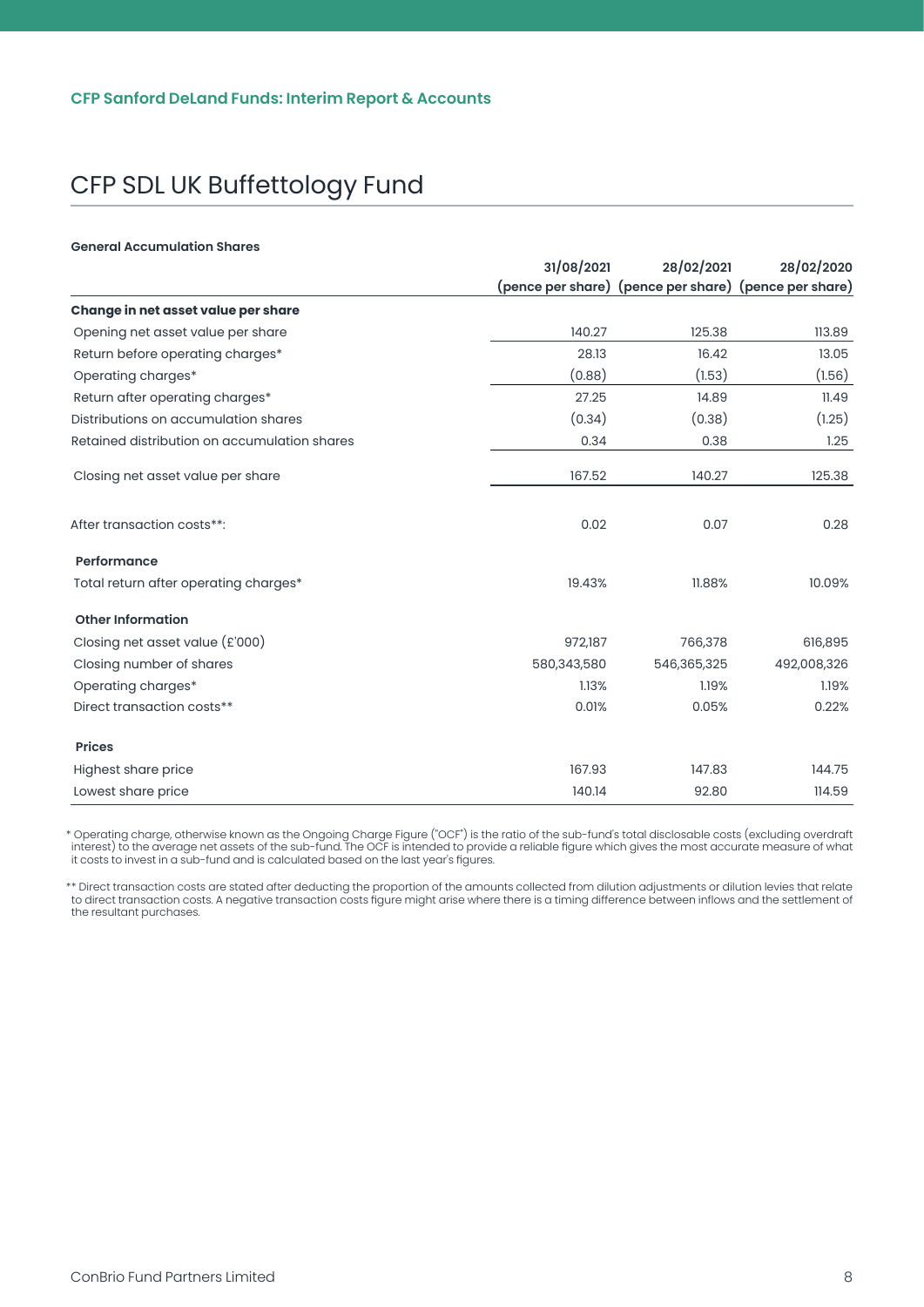#### **General Accumulation Shares**

|                                              | 31/08/2021  | 28/02/2021                                            | 28/02/2020  |
|----------------------------------------------|-------------|-------------------------------------------------------|-------------|
|                                              |             | (pence per share) (pence per share) (pence per share) |             |
| Change in net asset value per share          |             |                                                       |             |
| Opening net asset value per share            | 140.27      | 125.38                                                | 113.89      |
| Return before operating charges*             | 28.13       | 16.42                                                 | 13.05       |
| Operating charges*                           | (0.88)      | (1.53)                                                | (1.56)      |
| Return after operating charges*              | 27.25       | 14.89                                                 | 11.49       |
| Distributions on accumulation shares         | (0.34)      | (0.38)                                                | (1.25)      |
| Retained distribution on accumulation shares | 0.34        | 0.38                                                  | 1.25        |
| Closing net asset value per share            | 167.52      | 140.27                                                | 125.38      |
| After transaction costs**:                   | 0.02        | 0.07                                                  | 0.28        |
| Performance                                  |             |                                                       |             |
| Total return after operating charges*        | 19.43%      | 11.88%                                                | 10.09%      |
| <b>Other Information</b>                     |             |                                                       |             |
| Closing net asset value (£'000)              | 972,187     | 766,378                                               | 616,895     |
| Closing number of shares                     | 580,343,580 | 546,365,325                                           | 492,008,326 |
| Operating charges*                           | 1.13%       | 1.19%                                                 | 1.19%       |
| Direct transaction costs**                   | 0.01%       | 0.05%                                                 | 0.22%       |
| <b>Prices</b>                                |             |                                                       |             |
| Highest share price                          | 167.93      | 147.83                                                | 144.75      |
| Lowest share price                           | 140.14      | 92.80                                                 | 114.59      |

\* Operating charge, otherwise known as the Ongoing Charge Figure ("OCF") is the ratio of the sub-fund's total disclosable costs (excluding overdraft interest) to the average net assets of the sub-fund. The OCF is intended to provide a reliable figure which gives the most accurate measure of what it costs to invest in a sub-fund and is calculated based on the last year's figures.

\*\* Direct transaction costs are stated after deducting the proportion of the amounts collected from dilution adjustments or dilution levies that relate to direct transaction costs. A negative transaction costs figure might arise where there is a timing difference between inflows and the settlement of the resultant purchases.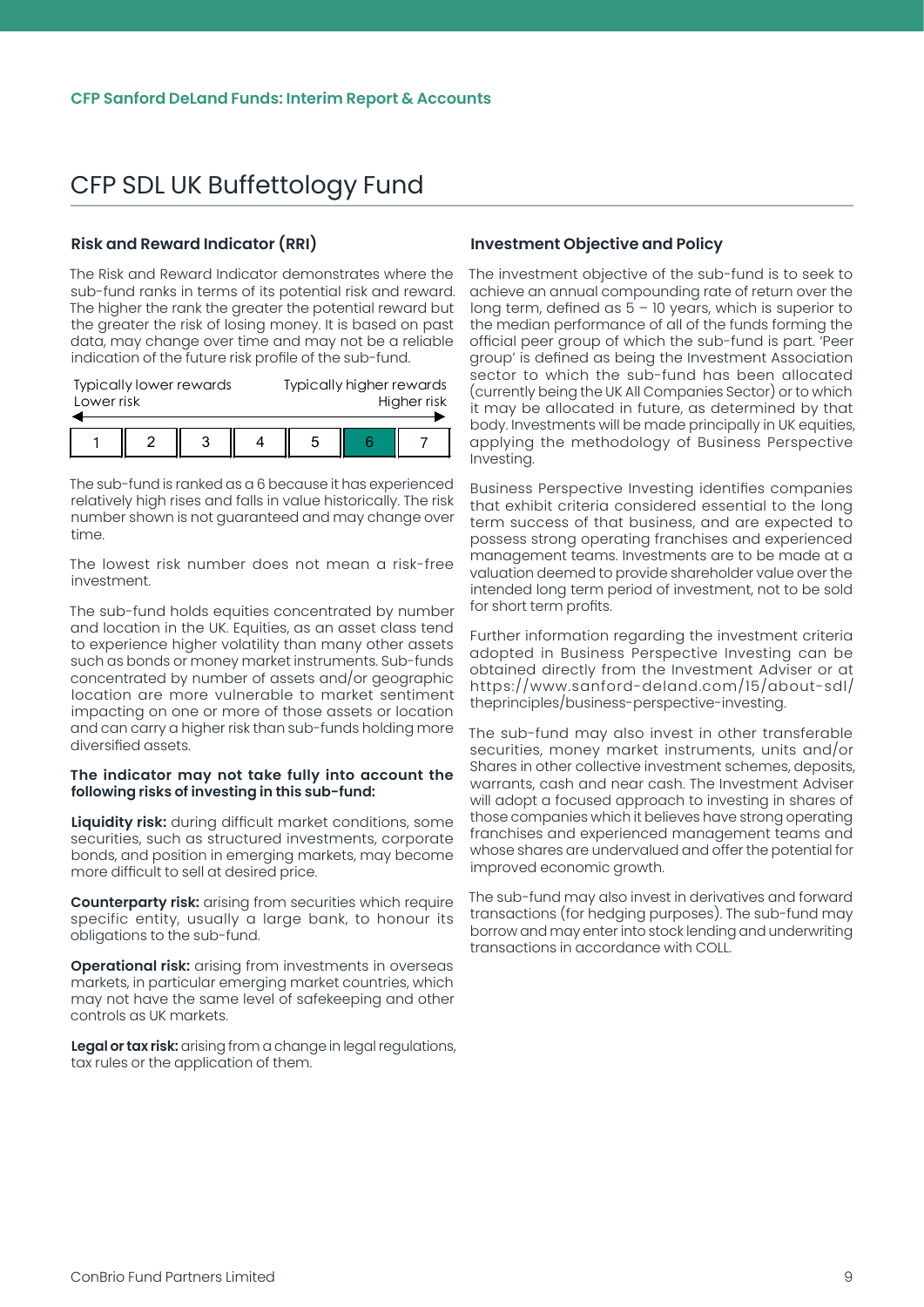#### <span id="page-9-0"></span>**Risk and Reward Indicator (RRI)**

The Risk and Reward Indicator demonstrates where the sub-fund ranks in terms of its potential risk and reward. The higher the rank the greater the potential reward but the greater the risk of losing money. It is based on past data, may change over time and may not be a reliable indication of the future risk profile of the sub-fund.

| <b>Typically lower rewards</b><br>Lower risk |  |  | Typically higher rewards<br>Higher risk |  |  |
|----------------------------------------------|--|--|-----------------------------------------|--|--|
|                                              |  |  |                                         |  |  |
|                                              |  |  | 5                                       |  |  |

The sub-fund is ranked as a 6 because it has experienced relatively high rises and falls in value historically. The risk number shown is not guaranteed and may change over time.

The lowest risk number does not mean a risk-free investment.

The sub-fund holds equities concentrated by number and location in the UK. Equities, as an asset class tend to experience higher volatility than many other assets such as bonds or money market instruments. Sub-funds concentrated by number of assets and/or geographic location are more vulnerable to market sentiment impacting on one or more of those assets or location and can carry a higher risk than sub-funds holding more diversified assets.

#### **The indicator may not take fully into account the following risks of investing in this sub-fund:**

**Liquidity risk:** during difficult market conditions, some securities, such as structured investments, corporate bonds, and position in emerging markets, may become more difficult to sell at desired price.

**Counterparty risk:** arising from securities which require specific entity, usually a large bank, to honour its obligations to the sub-fund.

**Operational risk:** arising from investments in overseas markets, in particular emerging market countries, which may not have the same level of safekeeping and other controls as UK markets.

**Legal or tax risk:** arising from a change in legal regulations, tax rules or the application of them.

#### **Investment Objective and Policy**

The investment objective of the sub-fund is to seek to achieve an annual compounding rate of return over the long term, defined as  $5 - 10$  years, which is superior to the median performance of all of the funds forming the official peer group of which the sub-fund is part. 'Peer group' is defined as being the Investment Association sector to which the sub-fund has been allocated (currently being the UK All Companies Sector) or to which it may be allocated in future, as determined by that body. Investments will be made principally in UK equities, applying the methodology of Business Perspective Investing.

Business Perspective Investing identifies companies that exhibit criteria considered essential to the long term success of that business, and are expected to possess strong operating franchises and experienced management teams. Investments are to be made at a valuation deemed to provide shareholder value over the intended long term period of investment, not to be sold for short term profits.

Further information regarding the investment criteria adopted in Business Perspective Investing can be obtained directly from the Investment Adviser or at https://www.sanford-deland.com/15/about-sdl/ theprinciples/business-perspective-investing.

The sub-fund may also invest in other transferable securities, money market instruments, units and/or Shares in other collective investment schemes, deposits, warrants, cash and near cash. The Investment Adviser will adopt a focused approach to investing in shares of those companies which it believes have strong operating franchises and experienced management teams and whose shares are undervalued and offer the potential for improved economic growth.

The sub-fund may also invest in derivatives and forward transactions (for hedging purposes). The sub-fund may borrow and may enter into stock lending and underwriting transactions in accordance with COLL.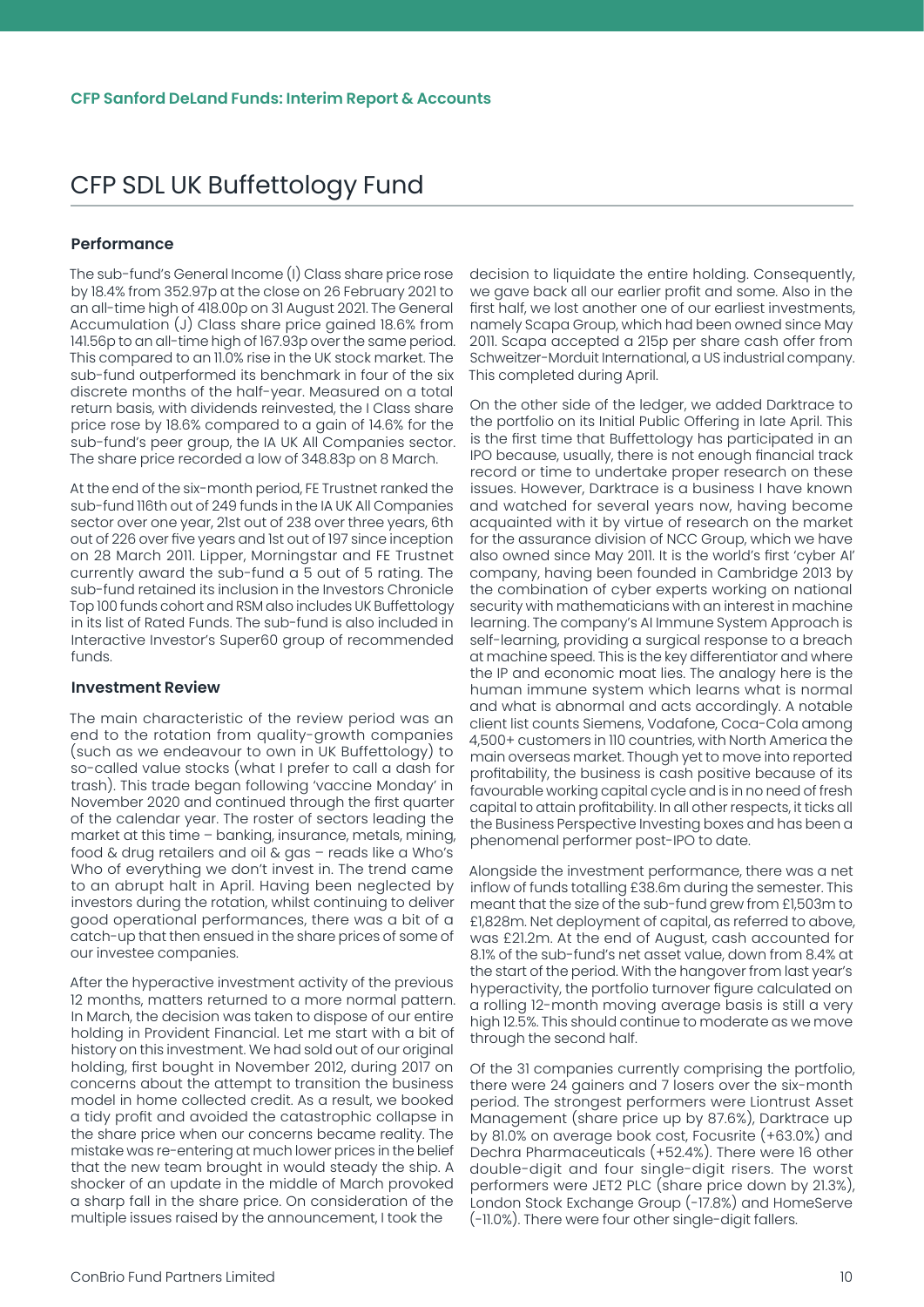#### <span id="page-10-0"></span>**Performance**

The sub-fund's General Income (I) Class share price rose by 18.4% from 352.97p at the close on 26 February 2021 to an all-time high of 418.00p on 31 August 2021. The General Accumulation (J) Class share price gained 18.6% from 141.56p to an all-time high of 167.93p over the same period. This compared to an 11.0% rise in the UK stock market. The sub-fund outperformed its benchmark in four of the six discrete months of the half-year. Measured on a total return basis, with dividends reinvested, the I Class share price rose by 18.6% compared to a gain of 14.6% for the sub-fund's peer group, the IA UK All Companies sector. The share price recorded a low of 348.83p on 8 March.

At the end of the six-month period, FE Trustnet ranked the sub-fund 116th out of 249 funds in the IA UK All Companies sector over one year, 21st out of 238 over three years, 6th out of 226 over five years and 1st out of 197 since inception on 28 March 2011. Lipper, Morningstar and FE Trustnet currently award the sub-fund a 5 out of 5 rating. The sub-fund retained its inclusion in the Investors Chronicle Top 100 funds cohort and RSM also includes UK Buffettology in its list of Rated Funds. The sub-fund is also included in Interactive Investor's Super60 group of recommended funds.

#### **Investment Review**

The main characteristic of the review period was an end to the rotation from quality-growth companies (such as we endeavour to own in UK Buffettology) to so-called value stocks (what I prefer to call a dash for trash). This trade began following 'vaccine Monday' in November 2020 and continued through the first quarter of the calendar year. The roster of sectors leading the market at this time – banking, insurance, metals, mining, food & drug retailers and oil & gas – reads like a Who's Who of everything we don't invest in. The trend came to an abrupt halt in April. Having been neglected by investors during the rotation, whilst continuing to deliver good operational performances, there was a bit of a catch-up that then ensued in the share prices of some of our investee companies.

After the hyperactive investment activity of the previous 12 months, matters returned to a more normal pattern. In March, the decision was taken to dispose of our entire holding in Provident Financial. Let me start with a bit of history on this investment. We had sold out of our original holding, first bought in November 2012, during 2017 on concerns about the attempt to transition the business model in home collected credit. As a result, we booked a tidy profit and avoided the catastrophic collapse in the share price when our concerns became reality. The mistake was re-entering at much lower prices in the belief that the new team brought in would steady the ship. A shocker of an update in the middle of March provoked a sharp fall in the share price. On consideration of the multiple issues raised by the announcement, I took the

decision to liquidate the entire holding. Consequently, we gave back all our earlier profit and some. Also in the first half, we lost another one of our earliest investments, namely Scapa Group, which had been owned since May 2011. Scapa accepted a 215p per share cash offer from Schweitzer-Morduit International, a US industrial company. This completed during April.

On the other side of the ledger, we added Darktrace to the portfolio on its Initial Public Offering in late April. This is the first time that Buffettology has participated in an IPO because, usually, there is not enough financial track record or time to undertake proper research on these issues. However, Darktrace is a business I have known and watched for several years now, having become acquainted with it by virtue of research on the market for the assurance division of NCC Group, which we have also owned since May 2011. It is the world's first 'cyber AI' company, having been founded in Cambridge 2013 by the combination of cyber experts working on national security with mathematicians with an interest in machine learning. The company's AI Immune System Approach is self-learning, providing a surgical response to a breach at machine speed. This is the key differentiator and where the IP and economic moat lies. The analogy here is the human immune system which learns what is normal and what is abnormal and acts accordingly. A notable client list counts Siemens, Vodafone, Coca-Cola among 4,500+ customers in 110 countries, with North America the main overseas market. Though yet to move into reported profitability, the business is cash positive because of its favourable working capital cycle and is in no need of fresh capital to attain profitability. In all other respects, it ticks all the Business Perspective Investing boxes and has been a phenomenal performer post-IPO to date.

Alongside the investment performance, there was a net inflow of funds totalling £38.6m during the semester. This meant that the size of the sub-fund grew from £1,503m to £1,828m. Net deployment of capital, as referred to above, was £21.2m. At the end of August, cash accounted for 8.1% of the sub-fund's net asset value, down from 8.4% at the start of the period. With the hangover from last year's hyperactivity, the portfolio turnover figure calculated on a rolling 12-month moving average basis is still a very high 12.5%. This should continue to moderate as we move through the second half.

Of the 31 companies currently comprising the portfolio, there were 24 gainers and 7 losers over the six-month period. The strongest performers were Liontrust Asset Management (share price up by 87.6%), Darktrace up by 81.0% on average book cost, Focusrite (+63.0%) and Dechra Pharmaceuticals (+52.4%). There were 16 other double-digit and four single-digit risers. The worst performers were JET2 PLC (share price down by 21.3%), London Stock Exchange Group (-17.8%) and HomeServe (-11.0%). There were four other single-digit fallers.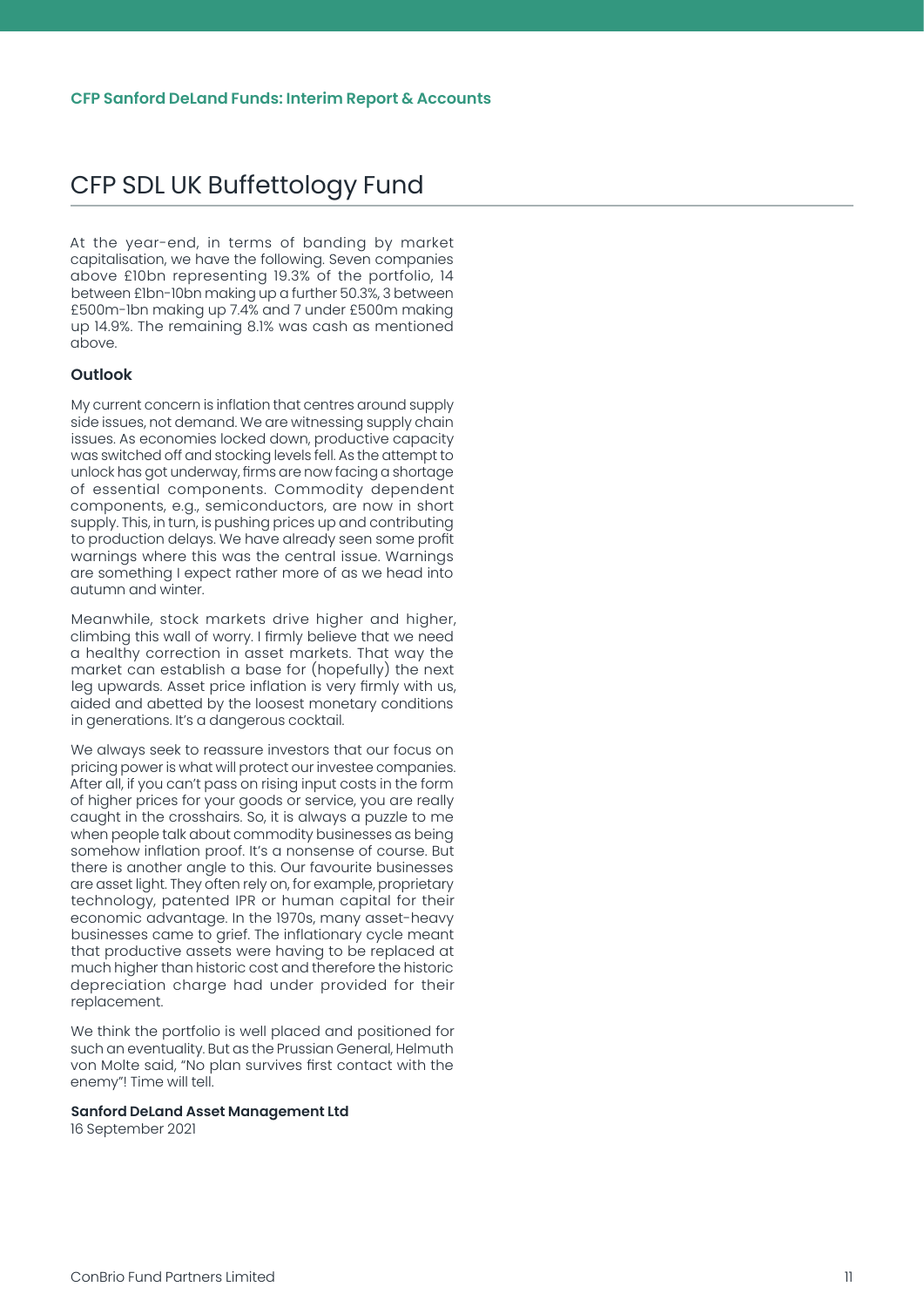<span id="page-11-0"></span>At the year-end, in terms of banding by market capitalisation, we have the following. Seven companies above £10bn representing 19.3% of the portfolio, 14 between £1bn-10bn making up a further 50.3%, 3 between £500m-1bn making up 7.4% and 7 under £500m making up 14.9%. The remaining 8.1% was cash as mentioned above.

#### **Outlook**

My current concern is inflation that centres around supply side issues, not demand. We are witnessing supply chain issues. As economies locked down, productive capacity was switched off and stocking levels fell. As the attempt to unlock has got underway, firms are now facing a shortage of essential components. Commodity dependent components, e.g., semiconductors, are now in short supply. This, in turn, is pushing prices up and contributing to production delays. We have already seen some profit warnings where this was the central issue. Warnings are something I expect rather more of as we head into autumn and winter.

Meanwhile, stock markets drive higher and higher, climbing this wall of worry. I firmly believe that we need a healthy correction in asset markets. That way the market can establish a base for (hopefully) the next leg upwards. Asset price inflation is very firmly with us, aided and abetted by the loosest monetary conditions in generations. It's a dangerous cocktail.

We always seek to reassure investors that our focus on pricing power is what will protect our investee companies. After all, if you can't pass on rising input costs in the form of higher prices for your goods or service, you are really caught in the crosshairs. So, it is always a puzzle to me when people talk about commodity businesses as being somehow inflation proof. It's a nonsense of course. But there is another angle to this. Our favourite businesses are asset light. They often rely on, for example, proprietary technology, patented IPR or human capital for their economic advantage. In the 1970s, many asset-heavy businesses came to grief. The inflationary cycle meant that productive assets were having to be replaced at much higher than historic cost and therefore the historic depreciation charge had under provided for their replacement.

We think the portfolio is well placed and positioned for such an eventuality. But as the Prussian General, Helmuth von Molte said, "No plan survives first contact with the enemy"! Time will tell.

#### **Sanford DeLand Asset Management Ltd**

16 September 2021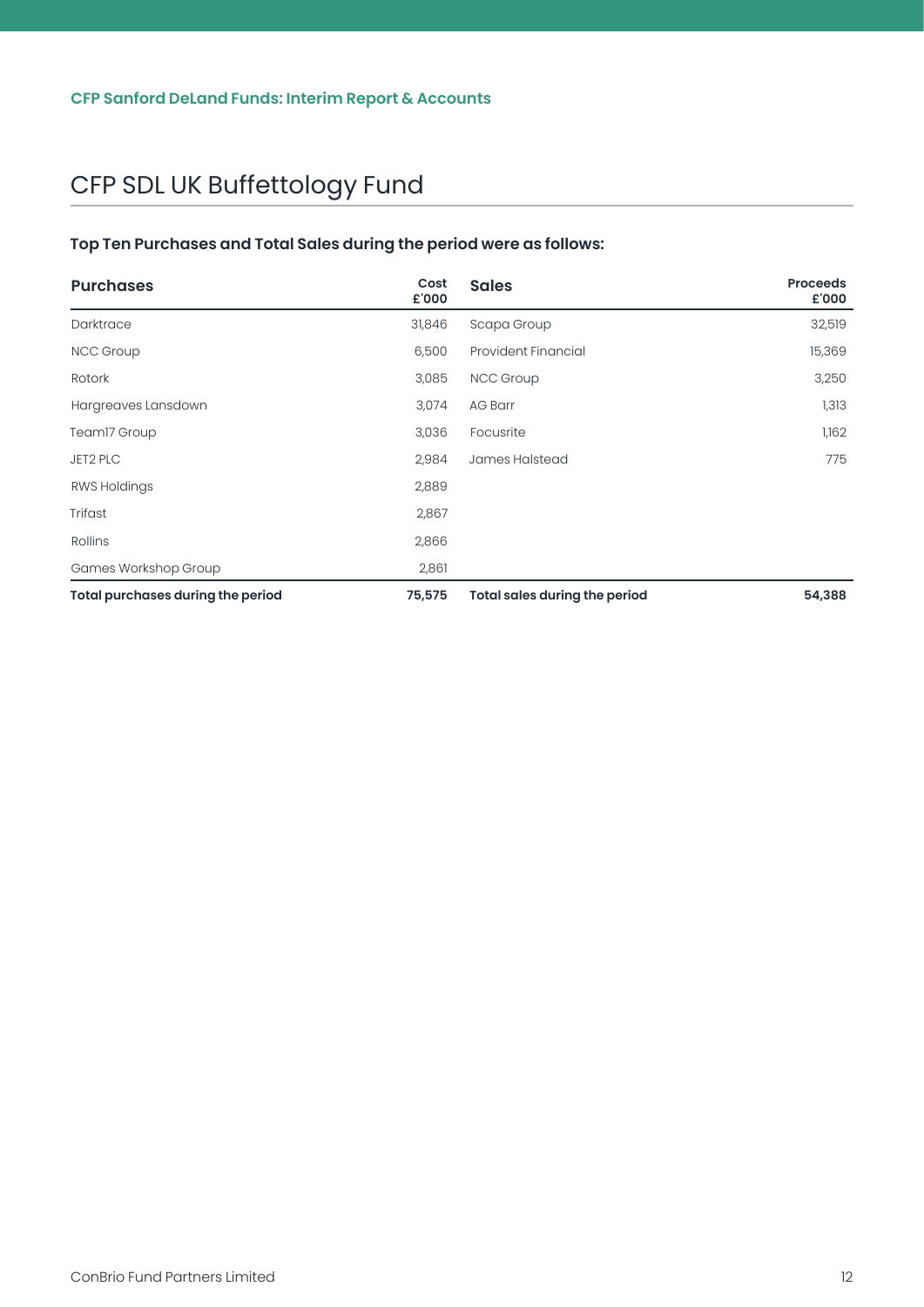#### <span id="page-12-0"></span>**Top Ten Purchases and Total Sales during the period were as follows:**

| <b>Purchases</b>                         | Cost<br>£'000 | <b>Sales</b>                         | <b>Proceeds</b><br>£'000 |
|------------------------------------------|---------------|--------------------------------------|--------------------------|
| Darktrace                                | 31,846        | Scapa Group                          | 32,519                   |
| <b>NCC Group</b>                         | 6,500         | <b>Provident Financial</b>           | 15,369                   |
| Rotork                                   | 3,085         | <b>NCC Group</b>                     | 3,250                    |
| Hargreaves Lansdown                      | 3,074         | <b>AG Barr</b>                       | 1,313                    |
| Team17 Group                             | 3,036         | Focusrite                            | 1,162                    |
| JET2 PLC                                 | 2,984         | James Halstead                       | 775                      |
| <b>RWS Holdings</b>                      | 2,889         |                                      |                          |
| Trifast                                  | 2,867         |                                      |                          |
| Rollins                                  | 2,866         |                                      |                          |
| Games Workshop Group                     | 2,861         |                                      |                          |
| <b>Total purchases during the period</b> | 75,575        | <b>Total sales during the period</b> | 54,388                   |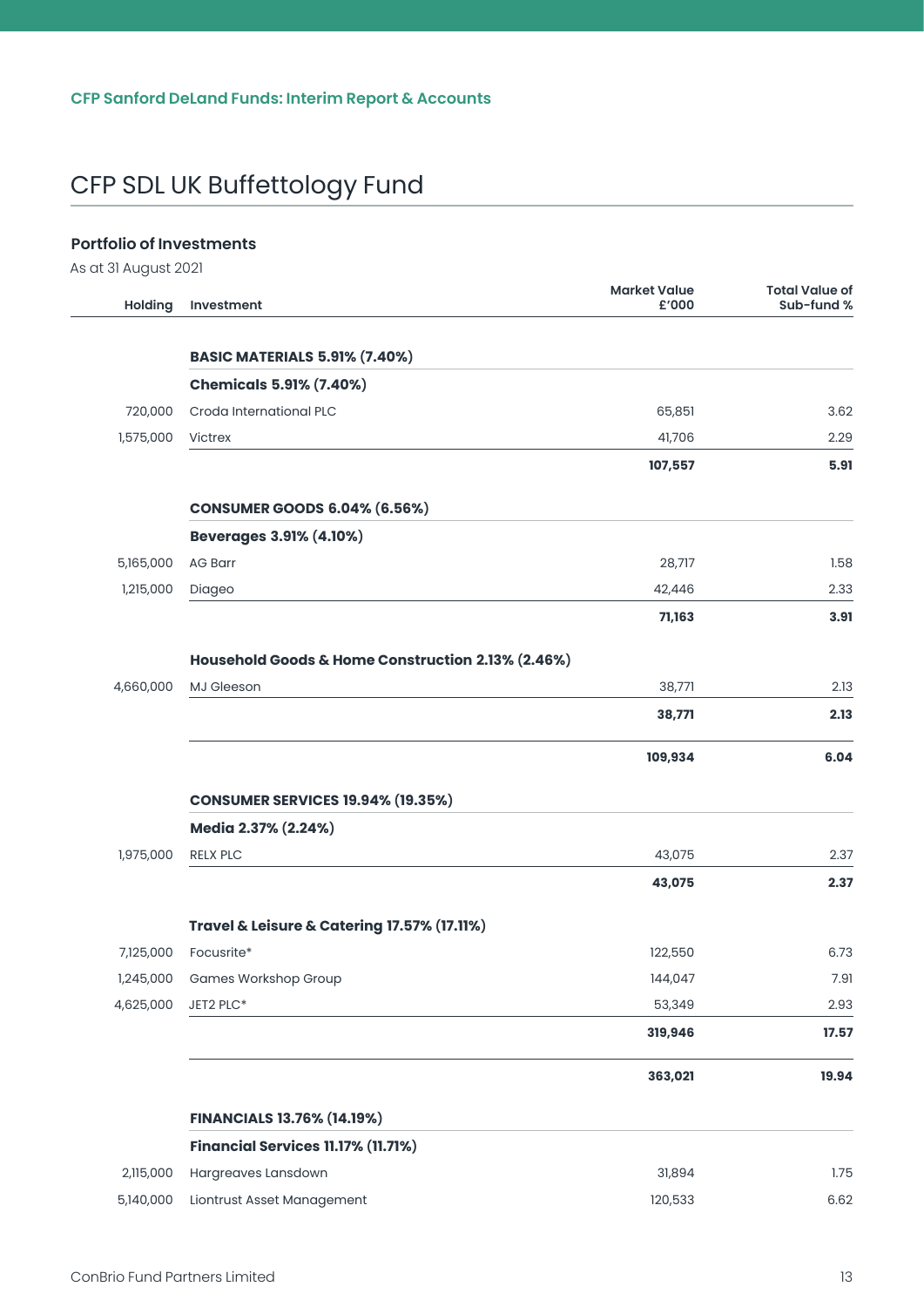#### <span id="page-13-0"></span>**Portfolio of Investments**

As at 31 August 2021

| <b>Holding</b> | Investment                                                 | <b>Market Value</b><br>£'000 | <b>Total Value of</b><br>Sub-fund % |
|----------------|------------------------------------------------------------|------------------------------|-------------------------------------|
|                | <b>BASIC MATERIALS 5.91% (7.40%)</b>                       |                              |                                     |
|                | <b>Chemicals 5.91% (7.40%)</b>                             |                              |                                     |
| 720,000        | Croda International PLC                                    | 65,851                       | 3.62                                |
| 1,575,000      | Victrex                                                    | 41,706                       | 2.29                                |
|                |                                                            | 107,557                      | 5.91                                |
|                | <b>CONSUMER GOODS 6.04% (6.56%)</b>                        |                              |                                     |
|                | <b>Beverages 3.91% (4.10%)</b>                             |                              |                                     |
| 5,165,000      | <b>AG Barr</b>                                             | 28,717                       | 1.58                                |
| 1,215,000      | Diageo                                                     | 42,446                       | 2.33                                |
|                |                                                            | 71,163                       | 3.91                                |
|                | Household Goods & Home Construction 2.13% (2.46%)          |                              |                                     |
| 4,660,000      | MJ Gleeson                                                 | 38,771                       | 2.13                                |
|                |                                                            | 38,771                       | 2.13                                |
|                |                                                            | 109,934                      | 6.04                                |
|                | <b>CONSUMER SERVICES 19.94% (19.35%)</b>                   |                              |                                     |
|                | Media 2.37% (2.24%)                                        |                              |                                     |
| 1,975,000      | <b>RELX PLC</b>                                            | 43,075                       | 2.37                                |
|                |                                                            | 43,075                       | 2.37                                |
|                | <b>Travel &amp; Leisure &amp; Catering 17.57% (17.11%)</b> |                              |                                     |
| 7,125,000      | Focusrite*                                                 | 122,550                      | 6.73                                |
| 1,245,000      | Games Workshop Group                                       | 144,047                      | 7.91                                |
| 4,625,000      | JET2 PLC*                                                  | 53,349                       | 2.93                                |
|                |                                                            | 319,946                      | 17.57                               |
|                |                                                            | 363,021                      | 19.94                               |
|                | <b>FINANCIALS 13.76% (14.19%)</b>                          |                              |                                     |
|                | Financial Services 11.17% (11.71%)                         |                              |                                     |
| 2,115,000      | Hargreaves Lansdown                                        | 31,894                       | 1.75                                |
| 5,140,000      | Liontrust Asset Management                                 | 120,533                      | 6.62                                |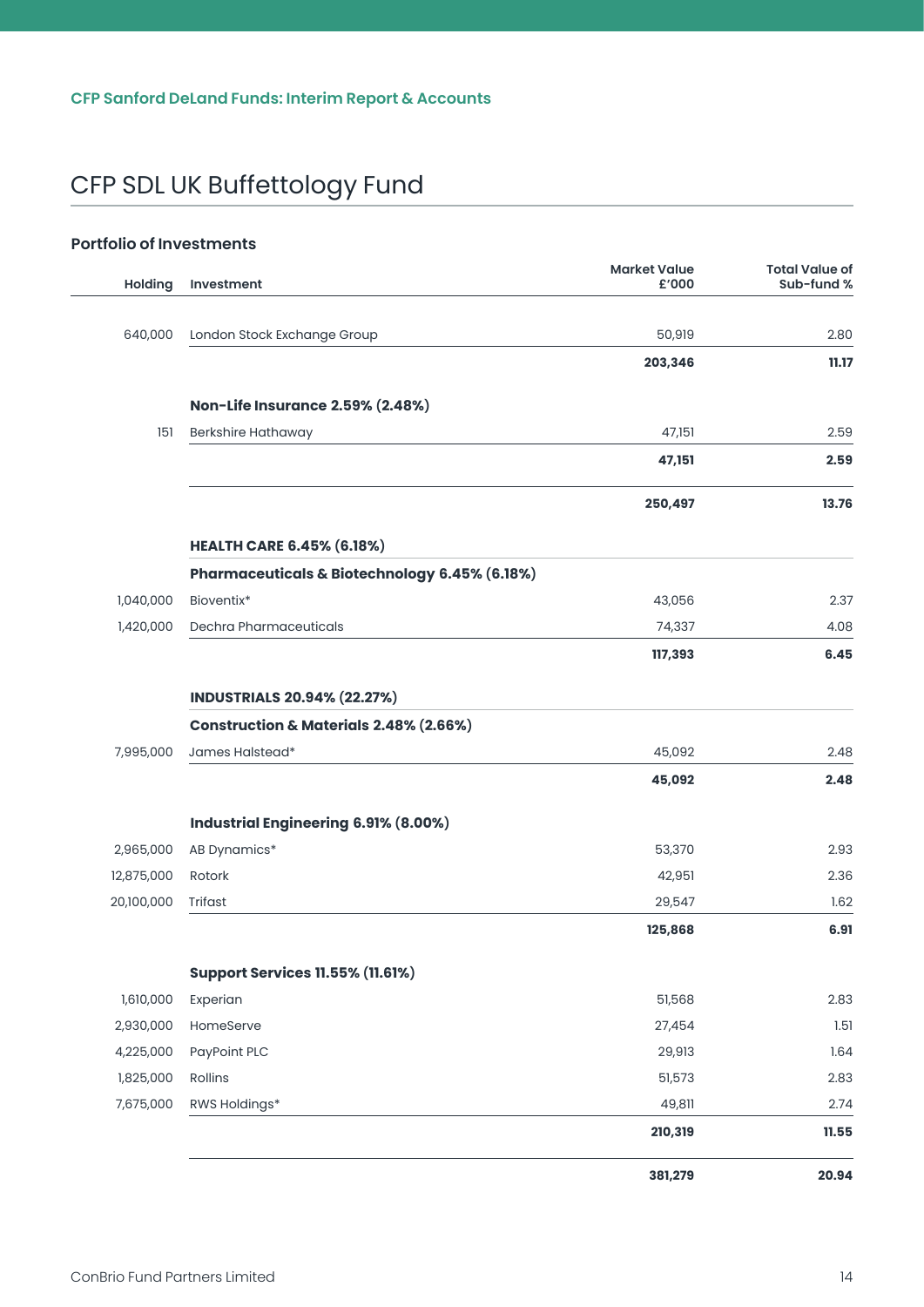#### **Portfolio of Investments**

| <b>Holding</b> | Investment                                        | <b>Market Value</b><br>£'000 | <b>Total Value of</b><br>Sub-fund % |
|----------------|---------------------------------------------------|------------------------------|-------------------------------------|
| 640,000        | London Stock Exchange Group                       | 50,919                       | 2.80                                |
|                |                                                   | 203,346                      | 11.17                               |
|                | <b>Non-Life Insurance 2.59% (2.48%)</b>           |                              |                                     |
| 151            | Berkshire Hathaway                                | 47,151                       | 2.59                                |
|                |                                                   | 47,151                       | 2.59                                |
|                |                                                   | 250,497                      | 13.76                               |
|                | <b>HEALTH CARE 6.45% (6.18%)</b>                  |                              |                                     |
|                | Pharmaceuticals & Biotechnology 6.45% (6.18%)     |                              |                                     |
| 1,040,000      | Bioventix*                                        | 43,056                       | 2.37                                |
| 1,420,000      | Dechra Pharmaceuticals                            | 74,337                       | 4.08                                |
|                |                                                   | 117,393                      | 6.45                                |
|                | <b>INDUSTRIALS 20.94% (22.27%)</b>                |                              |                                     |
|                | <b>Construction &amp; Materials 2.48% (2.66%)</b> |                              |                                     |
| 7,995,000      | James Halstead*                                   | 45,092                       | 2.48                                |
|                |                                                   | 45,092                       | 2.48                                |
|                | Industrial Engineering 6.91% (8.00%)              |                              |                                     |
| 2,965,000      | AB Dynamics*                                      | 53,370                       | 2.93                                |
| 12,875,000     | Rotork                                            | 42,951                       | 2.36                                |
| 20,100,000     | Trifast                                           | 29,547                       | 1.62                                |
|                |                                                   | 125,868                      | 6.91                                |
|                | <b>Support Services 11.55% (11.61%)</b>           |                              |                                     |
| 1,610,000      | Experian                                          | 51,568                       | 2.83                                |
| 2,930,000      | HomeServe                                         | 27,454                       | 1.51                                |
| 4,225,000      | PayPoint PLC                                      | 29,913                       | 1.64                                |
| 1,825,000      | Rollins                                           | 51,573                       | 2.83                                |
| 7,675,000      | RWS Holdings*                                     | 49,811                       | 2.74                                |
|                |                                                   | 210,319                      | 11.55                               |
|                |                                                   | 381,279                      | 20.94                               |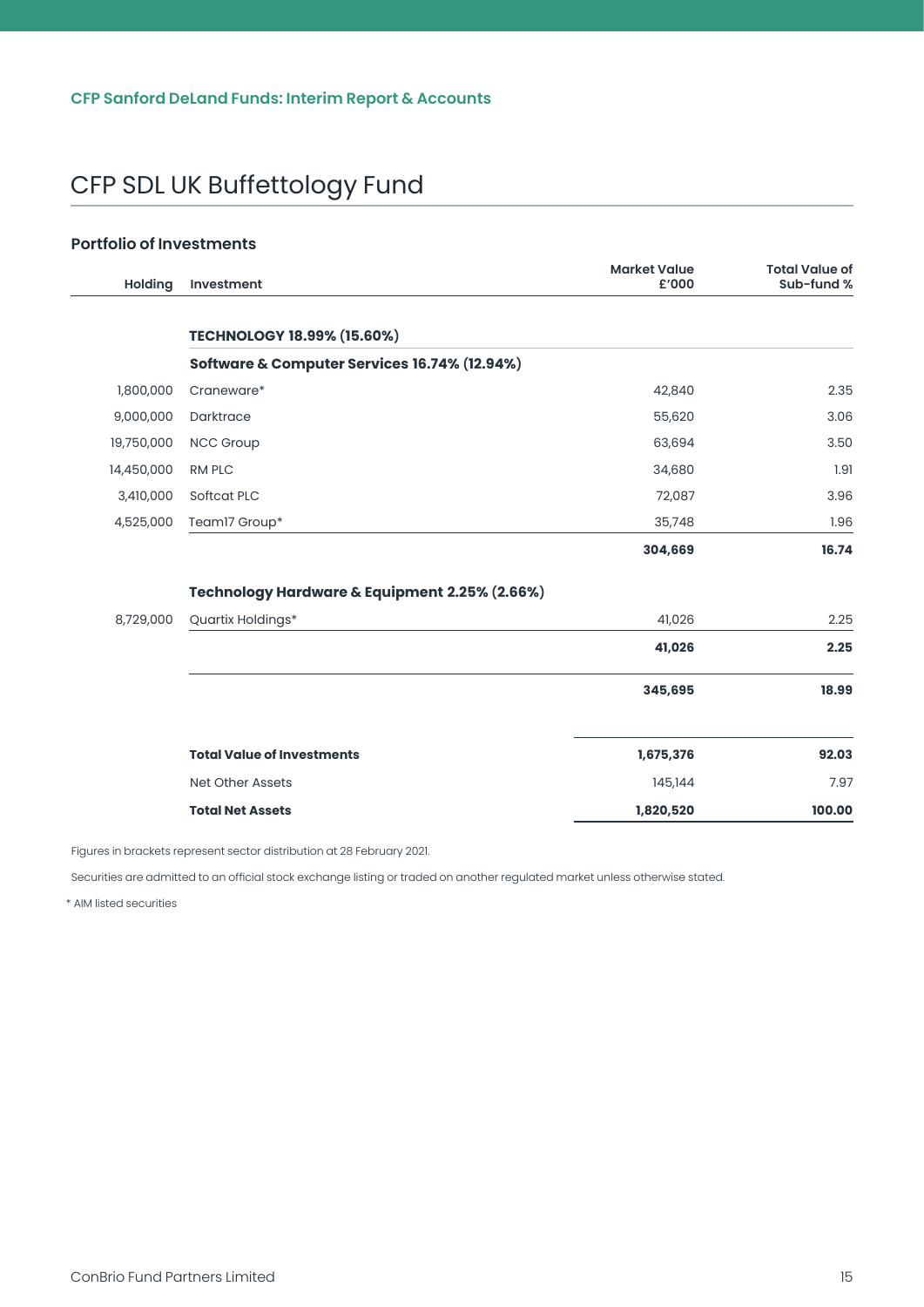#### **Portfolio of Investments**

 $\overline{a}$ 

| Holding    | Investment                                    | <b>Market Value</b><br>£'000 | <b>Total Value of</b><br>Sub-fund % |
|------------|-----------------------------------------------|------------------------------|-------------------------------------|
|            | <b>TECHNOLOGY 18.99% (15.60%)</b>             |                              |                                     |
|            | Software & Computer Services 16.74% (12.94%)  |                              |                                     |
| 1,800,000  | Craneware*                                    | 42,840                       | 2.35                                |
| 9,000,000  | Darktrace                                     | 55,620                       | 3.06                                |
| 19,750,000 | NCC Group                                     | 63,694                       | 3.50                                |
| 14,450,000 | <b>RM PLC</b>                                 | 34,680                       | 1.91                                |
| 3,410,000  | Softcat PLC                                   | 72,087                       | 3.96                                |
| 4,525,000  | Team17 Group*                                 | 35,748                       | 1.96                                |
|            |                                               | 304,669                      | 16.74                               |
|            | Technology Hardware & Equipment 2.25% (2.66%) |                              |                                     |
| 8,729,000  | Quartix Holdings*                             | 41,026                       | 2.25                                |
|            |                                               | 41,026                       | 2.25                                |
|            |                                               | 345,695                      | 18.99                               |
|            | <b>Total Value of Investments</b>             | 1,675,376                    | 92.03                               |
|            | <b>Net Other Assets</b>                       | 145,144                      | 7.97                                |
|            | <b>Total Net Assets</b>                       | 1,820,520                    | 100.00                              |

Figures in brackets represent sector distribution at 28 February 2021.

Securities are admitted to an official stock exchange listing or traded on another regulated market unless otherwise stated.

\* AIM listed securities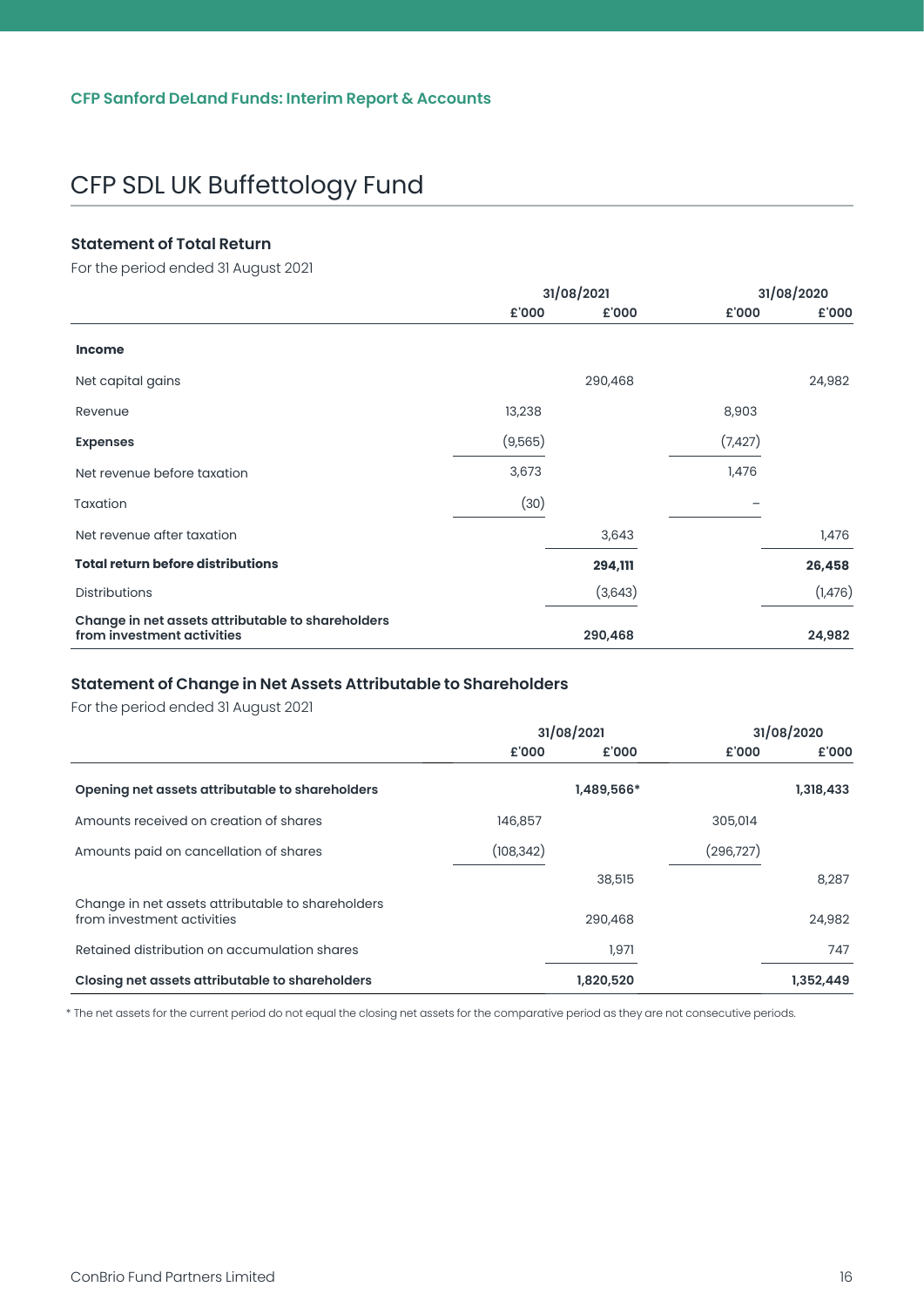#### <span id="page-16-0"></span>**Statement of Total Return**

For the period ended 31 August 2021

|                                                                                 | 31/08/2021 |         |          | 31/08/2020 |
|---------------------------------------------------------------------------------|------------|---------|----------|------------|
|                                                                                 | £'000      | £'000   | £'000    | £'000      |
| <b>Income</b>                                                                   |            |         |          |            |
| Net capital gains                                                               |            | 290,468 |          | 24,982     |
| Revenue                                                                         | 13,238     |         | 8,903    |            |
| <b>Expenses</b>                                                                 | (9,565)    |         | (7, 427) |            |
| Net revenue before taxation                                                     | 3,673      |         | 1,476    |            |
| Taxation                                                                        | (30)       |         |          |            |
| Net revenue after taxation                                                      |            | 3,643   |          | 1,476      |
| <b>Total return before distributions</b>                                        |            | 294,111 |          | 26,458     |
| <b>Distributions</b>                                                            |            | (3,643) |          | (1,476)    |
| Change in net assets attributable to shareholders<br>from investment activities |            | 290,468 |          | 24,982     |

#### **Statement of Change in Net Assets Attributable to Shareholders**

For the period ended 31 August 2021

|                                                                                 | 31/08/2021 |            |            | 31/08/2020 |
|---------------------------------------------------------------------------------|------------|------------|------------|------------|
|                                                                                 | £'000      | £'000      | £'000      | £'000      |
| Opening net assets attributable to shareholders                                 |            | 1,489,566* |            | 1,318,433  |
| Amounts received on creation of shares                                          | 146,857    |            | 305,014    |            |
| Amounts paid on cancellation of shares                                          | (108, 342) |            | (296, 727) |            |
|                                                                                 |            | 38,515     |            | 8,287      |
| Change in net assets attributable to shareholders<br>from investment activities |            | 290,468    |            | 24,982     |
| Retained distribution on accumulation shares                                    |            | 1,971      |            | 747        |
| Closing net assets attributable to shareholders                                 |            | 1,820,520  |            | 1,352,449  |

\* The net assets for the current period do not equal the closing net assets for the comparative period as they are not consecutive periods.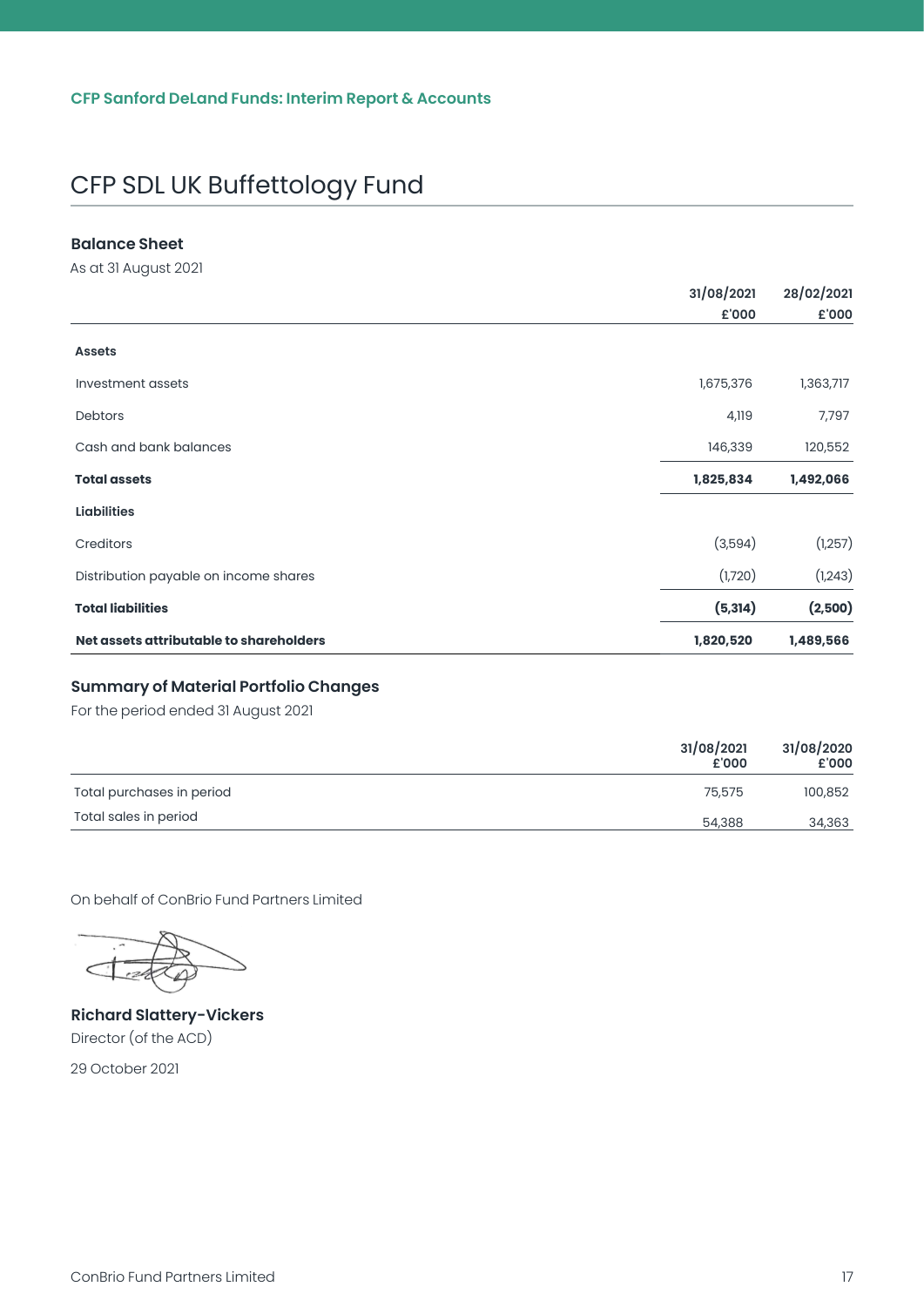#### <span id="page-17-0"></span>**Balance Sheet**

As at 31 August 2021

|                                         | 31/08/2021 |           |
|-----------------------------------------|------------|-----------|
|                                         | £'000      | £'000     |
| <b>Assets</b>                           |            |           |
| Investment assets                       | 1,675,376  | 1,363,717 |
| Debtors                                 | 4,119      | 7,797     |
| Cash and bank balances                  | 146,339    | 120,552   |
| <b>Total assets</b>                     | 1,825,834  | 1,492,066 |
| <b>Liabilities</b>                      |            |           |
| Creditors                               | (3,594)    | (1,257)   |
| Distribution payable on income shares   | (1,720)    | (1, 243)  |
| <b>Total liabilities</b>                | (5, 314)   | (2,500)   |
| Net assets attributable to shareholders | 1,820,520  | 1,489,566 |

#### **Summary of Material Portfolio Changes**

For the period ended 31 August 2021

|                           | 31/08/2021<br>£'000 | 31/08/2020<br>£'000 |
|---------------------------|---------------------|---------------------|
| Total purchases in period | 75,575              | 100,852             |
| Total sales in period     | 54,388              | 34,363              |

On behalf of ConBrio Fund Partners Limited

**Richard Slattery-Vickers** Director (of the ACD)

29 October 2021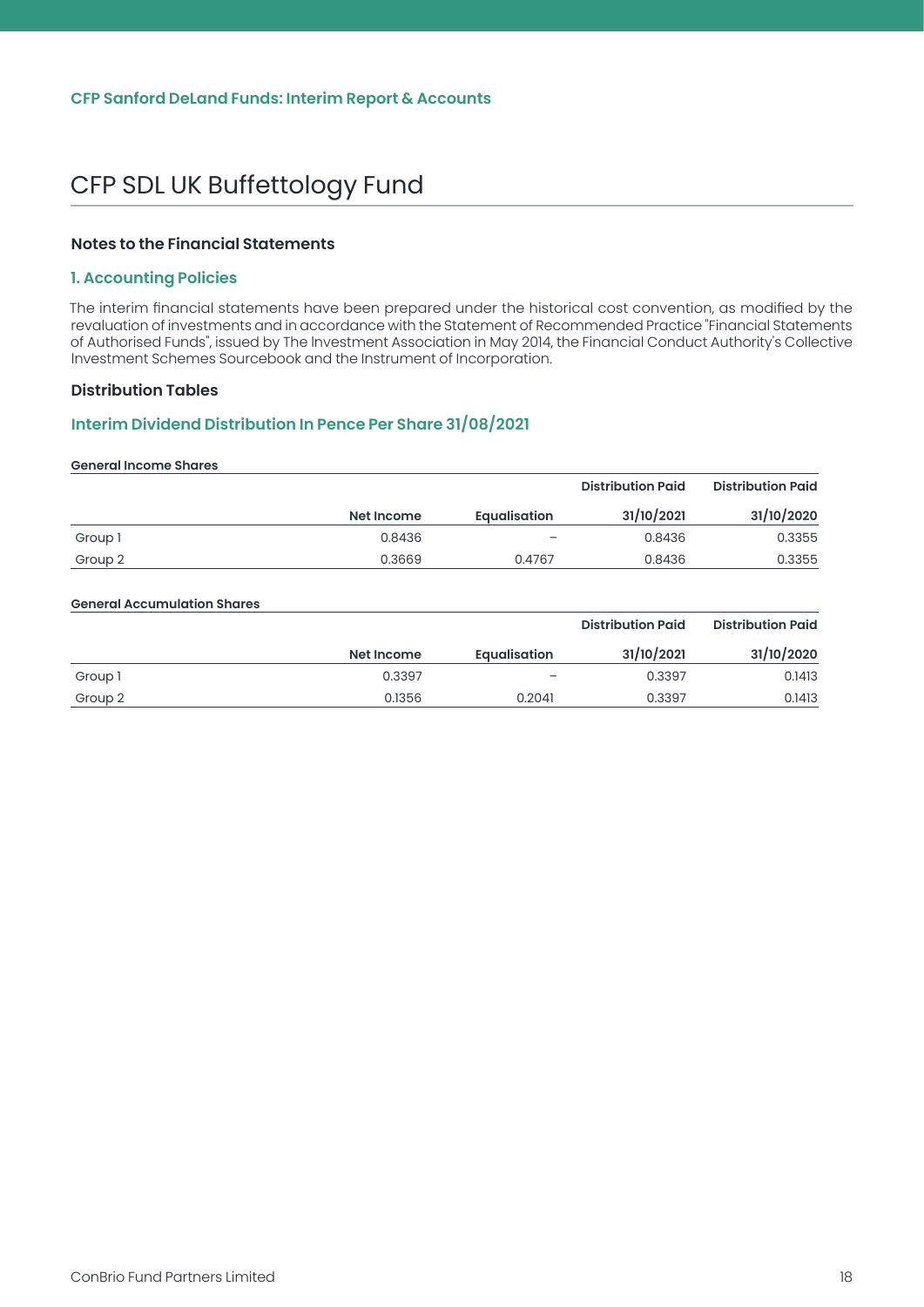#### <span id="page-18-0"></span>**Notes to the Financial Statements**

#### **1. Accounting Policies**

The interim financial statements have been prepared under the historical cost convention, as modified by the revaluation of investments and in accordance with the Statement of Recommended Practice "Financial Statements of Authorised Funds", issued by The lnvestment Association in May 2014, the Financial Conduct Authority's Collective lnvestment Schemes Sourcebook and the Instrument of Incorporation.

#### **Distribution Tables**

#### **Interim Dividend Distribution In Pence Per Share 31/08/2021**

#### **General Income Shares**

|         |            |                          | <b>Distribution Paid</b> | <b>Distribution Paid</b> |
|---------|------------|--------------------------|--------------------------|--------------------------|
|         | Net Income | <b>Equalisation</b>      | 31/10/2021               | 31/10/2020               |
| Group 1 | 0.8436     | $\overline{\phantom{0}}$ | 0.8436                   | 0.3355                   |
| Group 2 | 0.3669     | 0.4767                   | 0.8436                   | 0.3355                   |

#### **General Accumulation Shares**

|         |            |                     | <b>Distribution Paid</b> | <b>Distribution Paid</b> |
|---------|------------|---------------------|--------------------------|--------------------------|
|         | Net Income | <b>Equalisation</b> | 31/10/2021               | 31/10/2020               |
| Group 1 | 0.3397     | -                   | 0.3397                   | 0.1413                   |
| Group 2 | 0.1356     | 0.2041              | 0.3397                   | 0.1413                   |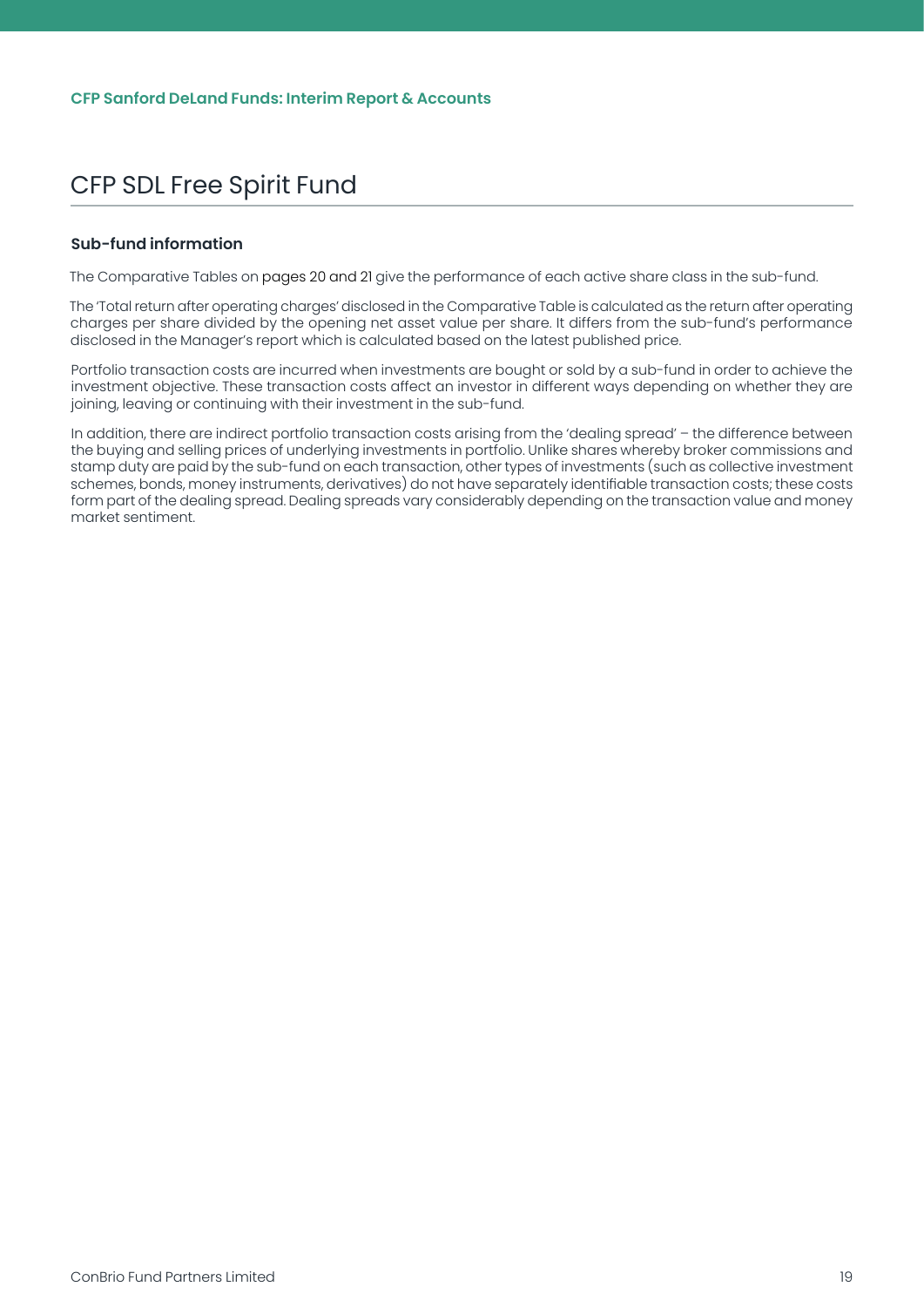#### <span id="page-19-0"></span>**Sub-fund information**

The Comparative Tables on pages 20 and 21 give the performance of each active share class in the sub-fund.

The 'Total return after operating charges' disclosed in the Comparative Table is calculated as the return after operating charges per share divided by the opening net asset value per share. It differs from the sub-fund's performance disclosed in the Manager's report which is calculated based on the latest published price.

Portfolio transaction costs are incurred when investments are bought or sold by a sub-fund in order to achieve the investment objective. These transaction costs affect an investor in different ways depending on whether they are joining, leaving or continuing with their investment in the sub-fund.

In addition, there are indirect portfolio transaction costs arising from the 'dealing spread' – the difference between the buying and selling prices of underlying investments in portfolio. Unlike shares whereby broker commissions and stamp duty are paid by the sub-fund on each transaction, other types of investments (such as collective investment schemes, bonds, money instruments, derivatives) do not have separately identifiable transaction costs; these costs form part of the dealing spread. Dealing spreads vary considerably depending on the transaction value and money market sentiment.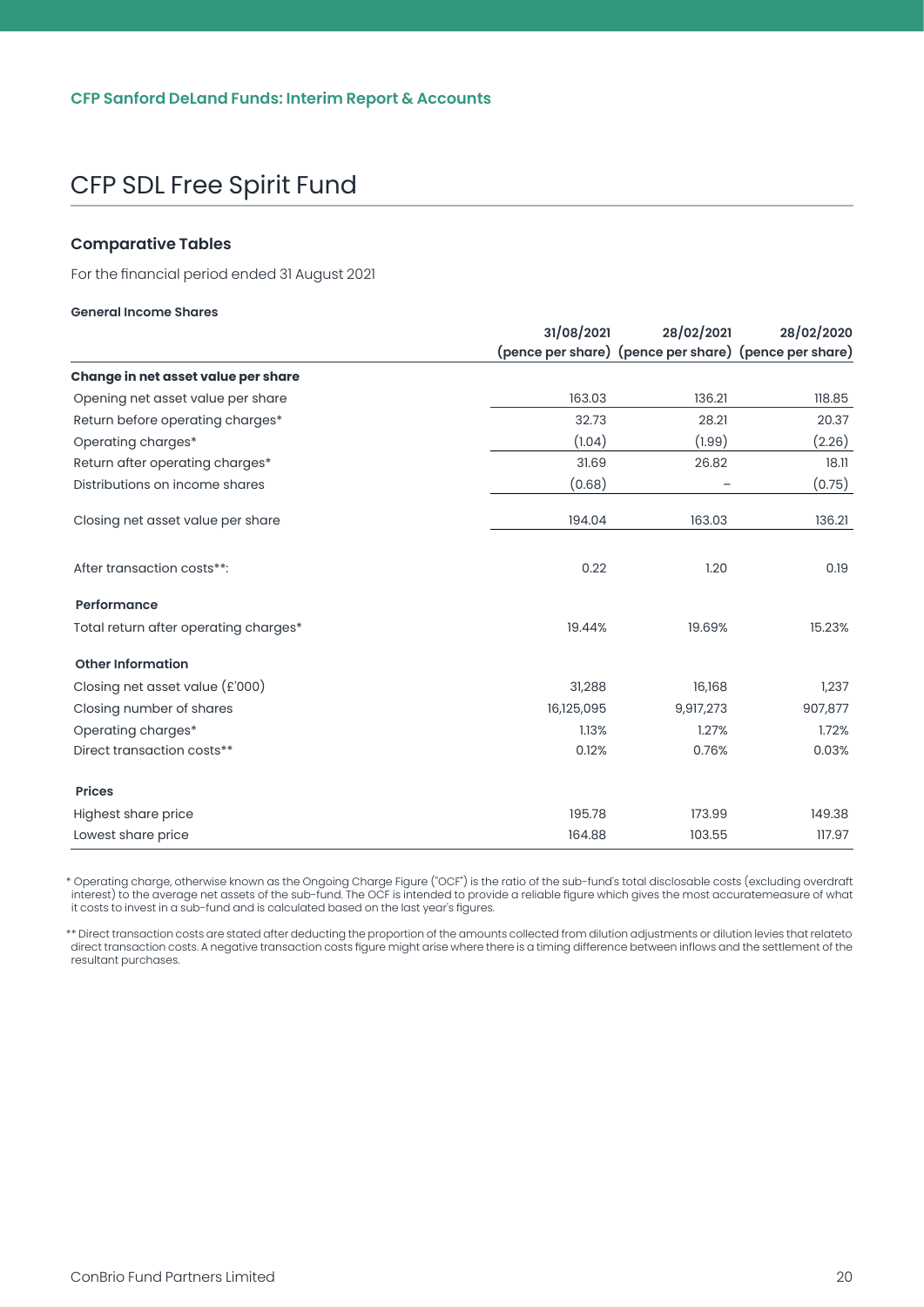#### <span id="page-20-0"></span>**Comparative Tables**

For the financial period ended 31 August 2021

#### **General Income Shares**

|                                       | 31/08/2021 | 28/02/2021                                            | 28/02/2020 |
|---------------------------------------|------------|-------------------------------------------------------|------------|
|                                       |            | (pence per share) (pence per share) (pence per share) |            |
| Change in net asset value per share   |            |                                                       |            |
| Opening net asset value per share     | 163.03     | 136.21                                                | 118.85     |
| Return before operating charges*      | 32.73      | 28.21                                                 | 20.37      |
| Operating charges*                    | (1.04)     | (1.99)                                                | (2.26)     |
| Return after operating charges*       | 31.69      | 26.82                                                 | 18.11      |
| Distributions on income shares        | (0.68)     |                                                       | (0.75)     |
| Closing net asset value per share     | 194.04     | 163.03                                                | 136.21     |
| After transaction costs**:            | 0.22       | 1.20                                                  | 0.19       |
| Performance                           |            |                                                       |            |
| Total return after operating charges* | 19.44%     | 19.69%                                                | 15.23%     |
| <b>Other Information</b>              |            |                                                       |            |
| Closing net asset value $(E'000)$     | 31,288     | 16,168                                                | 1,237      |
| Closing number of shares              | 16,125,095 | 9,917,273                                             | 907,877    |
| Operating charges*                    | 1.13%      | 1.27%                                                 | 1.72%      |
| Direct transaction costs**            | 0.12%      | 0.76%                                                 | 0.03%      |
| <b>Prices</b>                         |            |                                                       |            |
| Highest share price                   | 195.78     | 173.99                                                | 149.38     |
| Lowest share price                    | 164.88     | 103.55                                                | 117.97     |

\* Operating charge, otherwise known as the Ongoing Charge Figure ("OCF") is the ratio of the sub-fund's total disclosable costs (excluding overdraft interest) to the average net assets of the sub-fund. The OCF is intended to provide a reliable figure which gives the most accuratemeasure of what it costs to invest in a sub-fund and is calculated based on the last year's figures.

\*\* Direct transaction costs are stated after deducting the proportion of the amounts collected from dilution adjustments or dilution levies that relateto direct transaction costs. A negative transaction costs figure might arise where there is a timing difference between inflows and the settlement of the resultant purchases.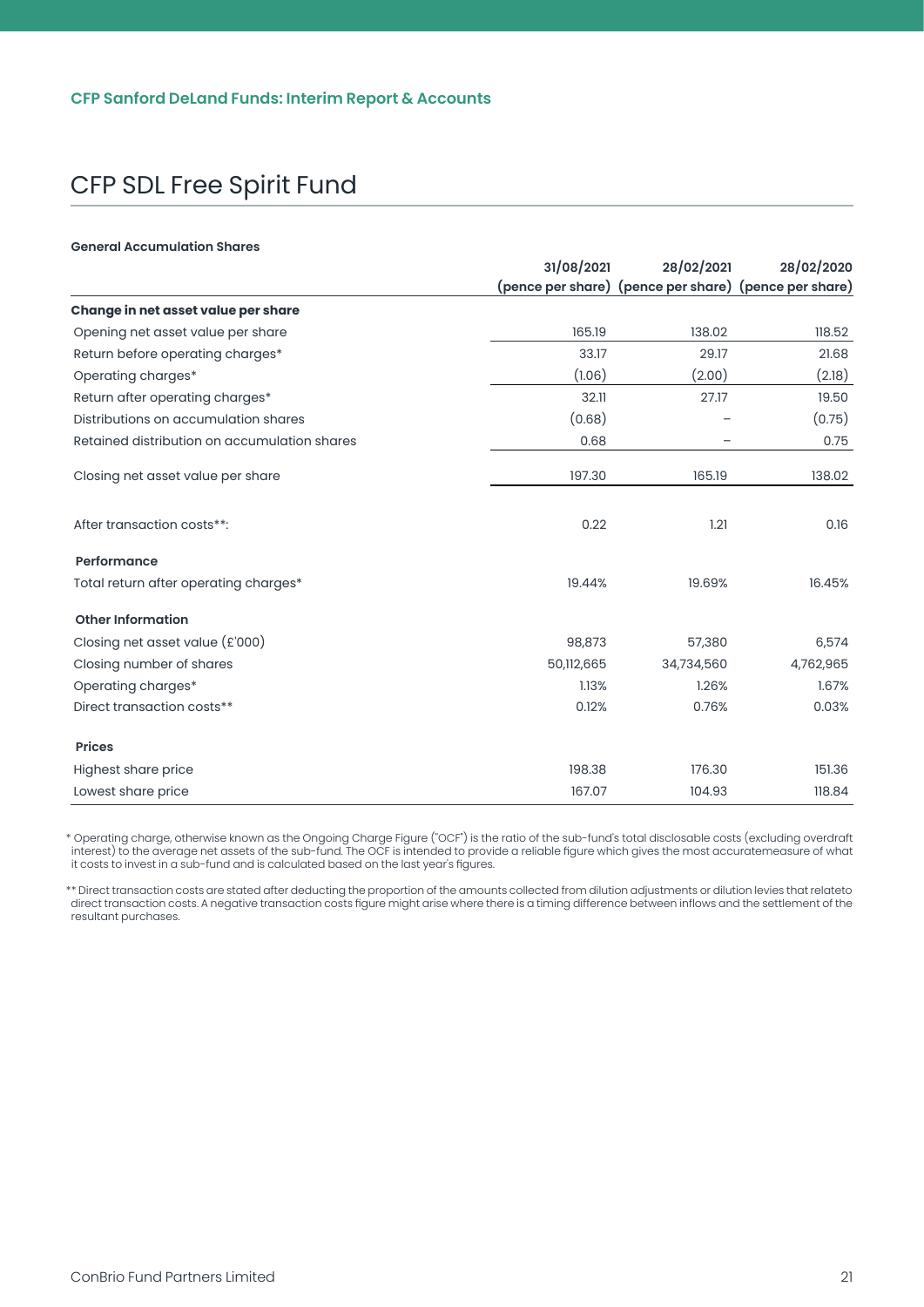#### **General Accumulation Shares**

|                                              | 31/08/2021 | 28/02/2021                                            | 28/02/2020 |
|----------------------------------------------|------------|-------------------------------------------------------|------------|
|                                              |            | (pence per share) (pence per share) (pence per share) |            |
| Change in net asset value per share          |            |                                                       |            |
| Opening net asset value per share            | 165.19     | 138.02                                                | 118.52     |
| Return before operating charges*             | 33.17      | 29.17                                                 | 21.68      |
| Operating charges*                           | (1.06)     | (2.00)                                                | (2.18)     |
| Return after operating charges*              | 32.11      | 27.17                                                 | 19.50      |
| Distributions on accumulation shares         | (0.68)     |                                                       | (0.75)     |
| Retained distribution on accumulation shares | 0.68       |                                                       | 0.75       |
| Closing net asset value per share            | 197.30     | 165.19                                                | 138.02     |
| After transaction costs**:                   | 0.22       | 1.21                                                  | 0.16       |
| Performance                                  |            |                                                       |            |
| Total return after operating charges*        | 19.44%     | 19.69%                                                | 16.45%     |
| <b>Other Information</b>                     |            |                                                       |            |
| Closing net asset value $(E'000)$            | 98,873     | 57,380                                                | 6,574      |
| Closing number of shares                     | 50,112,665 | 34,734,560                                            | 4,762,965  |
| Operating charges*                           | 1.13%      | 1.26%                                                 | 1.67%      |
| Direct transaction costs**                   | 0.12%      | 0.76%                                                 | 0.03%      |
| <b>Prices</b>                                |            |                                                       |            |
| Highest share price                          | 198.38     | 176.30                                                | 151.36     |
| Lowest share price                           | 167.07     | 104.93                                                | 118.84     |

\* Operating charge, otherwise known as the Ongoing Charge Figure ("OCF") is the ratio of the sub-fund's total disclosable costs (excluding overdraft interest) to the average net assets of the sub-fund. The OCF is intended to provide a reliable figure which gives the most accuratemeasure of what<br>it costs to invest in a sub-fund and is calculated based on the last year's

\*\* Direct transaction costs are stated after deducting the proportion of the amounts collected from dilution adjustments or dilution levies that relateto direct transaction costs. A negative transaction costs figure might arise where there is a timing difference between inflows and the settlement of the resultant purchases.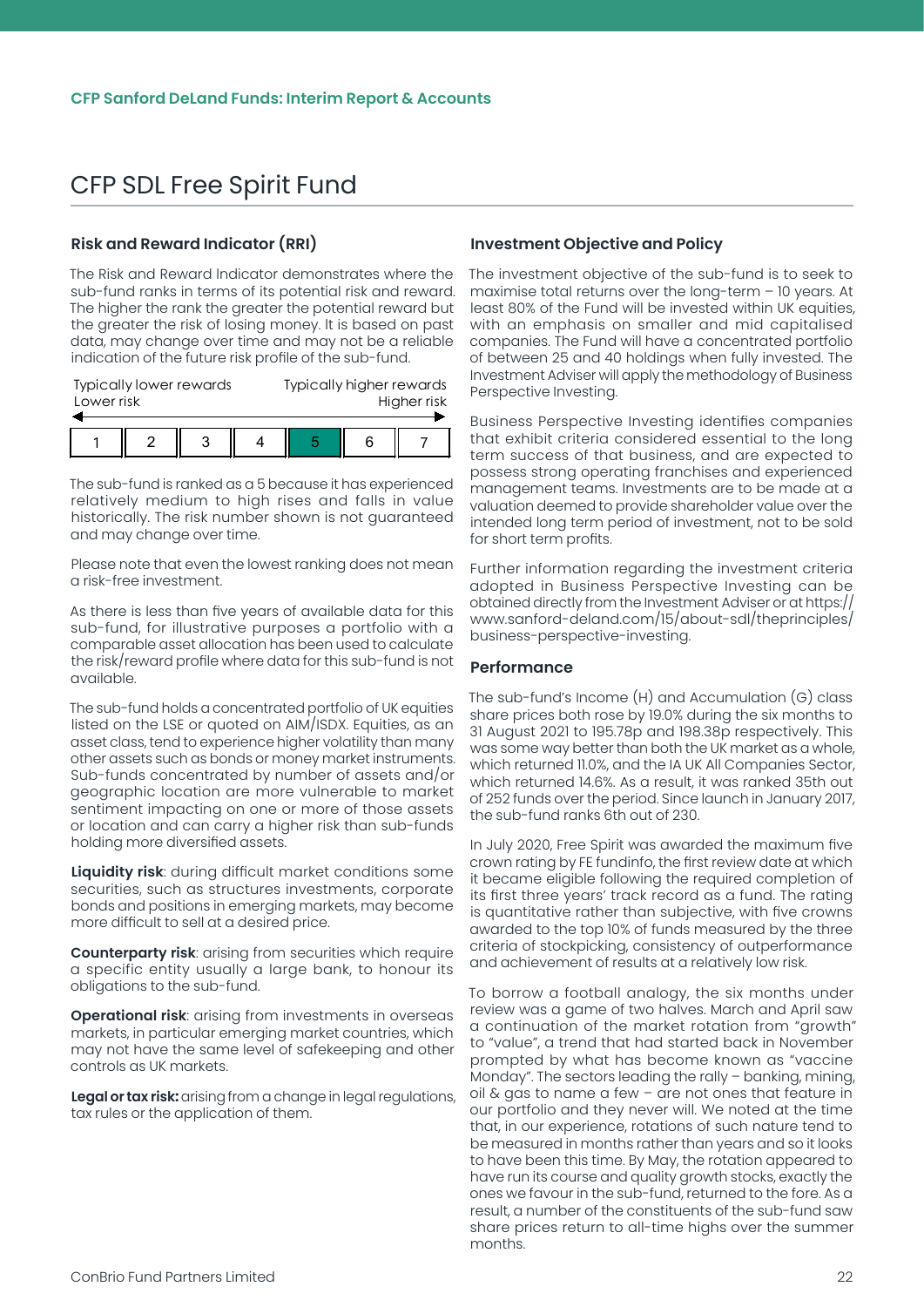#### <span id="page-22-0"></span>**Risk and Reward Indicator (RRI)**

The Risk and Reward lndicator demonstrates where the sub-fund ranks in terms of its potential risk and reward. The higher the rank the greater the potential reward but the greater the risk of losing money. lt is based on past data, may change over time and may not be a reliable indication of the future risk profile of the sub-fund.

|            | Typically higher rewards<br>Typically lower rewards |             |  |   |  |
|------------|-----------------------------------------------------|-------------|--|---|--|
| Lower risk |                                                     | Higher risk |  |   |  |
|            |                                                     |             |  |   |  |
|            |                                                     |             |  | ค |  |

The sub-fund is ranked as a 5 because it has experienced relatively medium to high rises and falls in value historically. The risk number shown is not guaranteed and may change over time.

Please note that even the lowest ranking does not mean a risk-free investment.

As there is less than five years of available data for this sub-fund, for illustrative purposes a portfolio with a comparable asset allocation has been used to calculate the risk/reward profile where data for this sub-fund is not available.

The sub-fund holds a concentrated portfolio of UK equities listed on the LSE or quoted on AIM/ISDX. Equities, as an asset class, tend to experience higher volatility than many other assets such as bonds or money market instruments. Sub-funds concentrated by number of assets and/or geographic location are more vulnerable to market sentiment impacting on one or more of those assets or location and can carry a higher risk than sub-funds holding more diversified assets.

**Liquidity risk**: during difficult market conditions some securities, such as structures investments, corporate bonds and positions in emerging markets, may become more difficult to sell at a desired price.

**Counterparty risk**: arising from securities which require a specific entity usually a large bank, to honour its obligations to the sub-fund.

**Operational risk**: arising from investments in overseas markets, in particular emerging market countries, which may not have the same level of safekeeping and other controls as UK markets.

**Legal or tax risk:** arising from a change in legal regulations, tax rules or the application of them.

#### **Investment Objective and Policy**

The investment objective of the sub-fund is to seek to maximise total returns over the long-term – 10 years. At least 80% of the Fund will be invested within UK equities, with an emphasis on smaller and mid capitalised companies. The Fund will have a concentrated portfolio of between 25 and 40 holdings when fully invested. The Investment Adviser will apply the methodology of Business Perspective Investing.

Business Perspective Investing identifies companies that exhibit criteria considered essential to the long term success of that business, and are expected to possess strong operating franchises and experienced management teams. Investments are to be made at a valuation deemed to provide shareholder value over the intended long term period of investment, not to be sold for short term profits.

Further information regarding the investment criteria adopted in Business Perspective Investing can be obtained directly from the Investment Adviser or at https:// www.sanford-deland.com/15/about-sdl/theprinciples/ business-perspective-investing.

#### **Performance**

The sub-fund's Income (H) and Accumulation (G) class share prices both rose by 19.0% during the six months to 31 August 2021 to 195.78p and 198.38p respectively. This was some way better than both the UK market as a whole, which returned 11.0%, and the IA UK All Companies Sector, which returned 14.6%. As a result, it was ranked 35th out of 252 funds over the period. Since launch in January 2017, the sub-fund ranks 6th out of 230.

In July 2020, Free Spirit was awarded the maximum five crown rating by FE fundinfo, the first review date at which it became eligible following the required completion of its first three years' track record as a fund. The rating is quantitative rather than subjective, with five crowns awarded to the top 10% of funds measured by the three criteria of stockpicking, consistency of outperformance and achievement of results at a relatively low risk.

To borrow a football analogy, the six months under review was a game of two halves. March and April saw a continuation of the market rotation from "growth" to "value", a trend that had started back in November prompted by what has become known as "vaccine Monday". The sectors leading the rally – banking, mining, oil & gas to name a few – are not ones that feature in our portfolio and they never will. We noted at the time that, in our experience, rotations of such nature tend to be measured in months rather than years and so it looks to have been this time. By May, the rotation appeared to have run its course and quality growth stocks, exactly the ones we favour in the sub-fund, returned to the fore. As a result, a number of the constituents of the sub-fund saw share prices return to all-time highs over the summer months.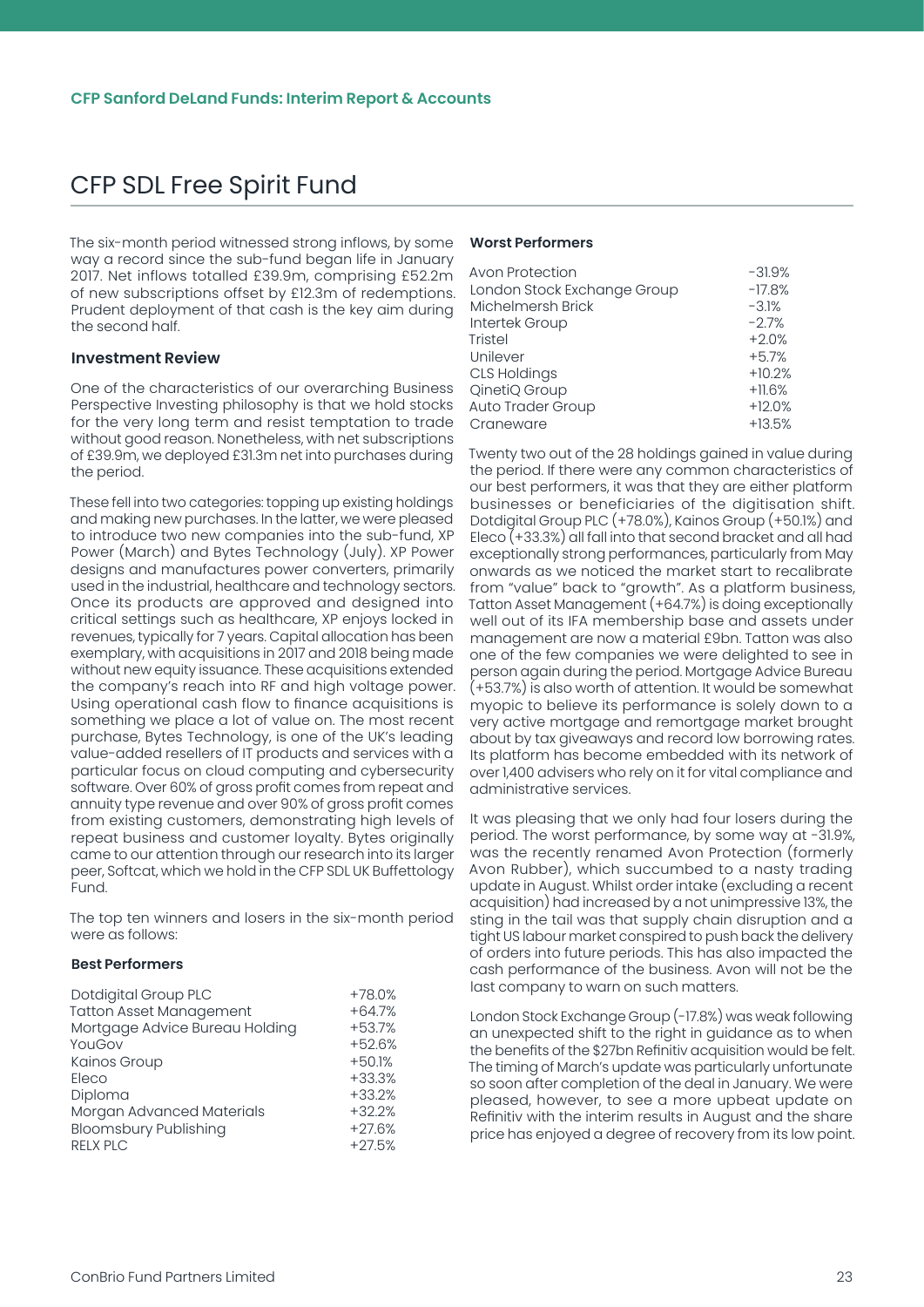<span id="page-23-0"></span>The six-month period witnessed strong inflows, by some way a record since the sub-fund began life in January 2017. Net inflows totalled £39.9m, comprising £52.2m of new subscriptions offset by £12.3m of redemptions. Prudent deployment of that cash is the key aim during the second half.

#### **Investment Review**

One of the characteristics of our overarching Business Perspective Investing philosophy is that we hold stocks for the very long term and resist temptation to trade without good reason. Nonetheless, with net subscriptions of £39.9m, we deployed £31.3m net into purchases during the period.

These fell into two categories: topping up existing holdings and making new purchases. In the latter, we were pleased to introduce two new companies into the sub-fund, XP Power (March) and Bytes Technology (July). XP Power designs and manufactures power converters, primarily used in the industrial, healthcare and technology sectors. Once its products are approved and designed into critical settings such as healthcare, XP enjoys locked in revenues, typically for 7 years. Capital allocation has been exemplary, with acquisitions in 2017 and 2018 being made without new equity issuance. These acquisitions extended the company's reach into RF and high voltage power. Using operational cash flow to finance acquisitions is something we place a lot of value on. The most recent purchase, Bytes Technology, is one of the UK's leading value-added resellers of IT products and services with a particular focus on cloud computing and cybersecurity software. Over 60% of gross profit comes from repeat and annuity type revenue and over 90% of gross profit comes from existing customers, demonstrating high levels of repeat business and customer loyalty. Bytes originally came to our attention through our research into its larger peer, Softcat, which we hold in the CFP SDL UK Buffettology Fund.

The top ten winners and losers in the six-month period were as follows:

#### **Best Performers**

| Dotdigital Group PLC           | $+78.0%$ |
|--------------------------------|----------|
| <b>Tatton Asset Management</b> | $+64.7%$ |
| Mortgage Advice Bureau Holding | $+53.7%$ |
| YouGov                         | $+52.6%$ |
| Kainos Group                   | $+50.1%$ |
| Eleco                          | $+33.3%$ |
| Diploma                        | $+33.2%$ |
| Morgan Advanced Materials      | $+32.2%$ |
| <b>Bloomsbury Publishing</b>   | $+27.6%$ |
| <b>RELX PLC</b>                | $+27.5%$ |

#### **Worst Performers**

Twenty two out of the 28 holdings gained in value during the period. If there were any common characteristics of our best performers, it was that they are either platform businesses or beneficiaries of the digitisation shift. Dotdigital Group PLC (+78.0%), Kainos Group (+50.1%) and Eleco (+33.3%) all fall into that second bracket and all had exceptionally strong performances, particularly from May onwards as we noticed the market start to recalibrate from "value" back to "growth". As a platform business, Tatton Asset Management (+64.7%) is doing exceptionally well out of its IFA membership base and assets under management are now a material £9bn. Tatton was also one of the few companies we were delighted to see in person again during the period. Mortgage Advice Bureau (+53.7%) is also worth of attention. It would be somewhat myopic to believe its performance is solely down to a very active mortgage and remortgage market brought about by tax giveaways and record low borrowing rates. Its platform has become embedded with its network of over 1,400 advisers who rely on it for vital compliance and administrative services.

It was pleasing that we only had four losers during the period. The worst performance, by some way at -31.9%, was the recently renamed Avon Protection (formerly Avon Rubber), which succumbed to a nasty trading update in August. Whilst order intake (excluding a recent acquisition) had increased by a not unimpressive 13%, the sting in the tail was that supply chain disruption and a tight US labour market conspired to push back the delivery of orders into future periods. This has also impacted the cash performance of the business. Avon will not be the last company to warn on such matters.

London Stock Exchange Group (-17.8%) was weak following an unexpected shift to the right in guidance as to when the benefits of the \$27bn Refinitiv acquisition would be felt. The timing of March's update was particularly unfortunate so soon after completion of the deal in January. We were pleased, however, to see a more upbeat update on Refinitiv with the interim results in August and the share price has enjoyed a degree of recovery from its low point.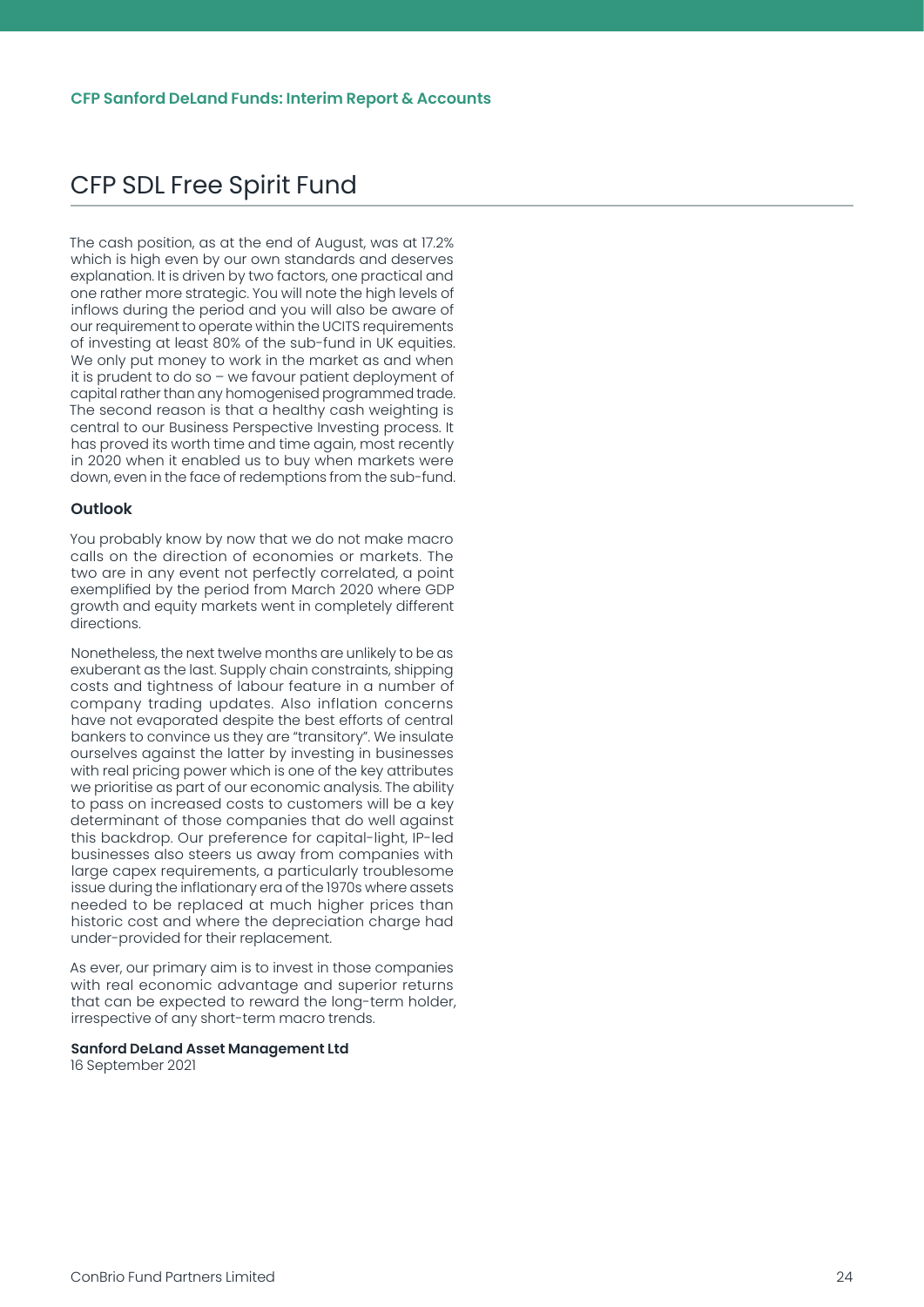<span id="page-24-0"></span>The cash position, as at the end of August, was at 17.2% which is high even by our own standards and deserves explanation. It is driven by two factors, one practical and one rather more strategic. You will note the high levels of inflows during the period and you will also be aware of our requirement to operate within the UCITS requirements of investing at least 80% of the sub-fund in UK equities. We only put money to work in the market as and when it is prudent to do so – we favour patient deployment of capital rather than any homogenised programmed trade. The second reason is that a healthy cash weighting is central to our Business Perspective Investing process. It has proved its worth time and time again, most recently in 2020 when it enabled us to buy when markets were down, even in the face of redemptions from the sub-fund.

#### **Outlook**

You probably know by now that we do not make macro calls on the direction of economies or markets. The two are in any event not perfectly correlated, a point exemplified by the period from March 2020 where GDP growth and equity markets went in completely different directions.

Nonetheless, the next twelve months are unlikely to be as exuberant as the last. Supply chain constraints, shipping costs and tightness of labour feature in a number of company trading updates. Also inflation concerns have not evaporated despite the best efforts of central bankers to convince us they are "transitory". We insulate ourselves against the latter by investing in businesses with real pricing power which is one of the key attributes we prioritise as part of our economic analysis. The ability to pass on increased costs to customers will be a key determinant of those companies that do well against this backdrop. Our preference for capital-light, IP-led businesses also steers us away from companies with large capex requirements, a particularly troublesome issue during the inflationary era of the 1970s where assets needed to be replaced at much higher prices than historic cost and where the depreciation charge had under-provided for their replacement.

As ever, our primary aim is to invest in those companies with real economic advantage and superior returns that can be expected to reward the long-term holder, irrespective of any short-term macro trends.

#### **Sanford DeLand Asset Management Ltd**

16 September 2021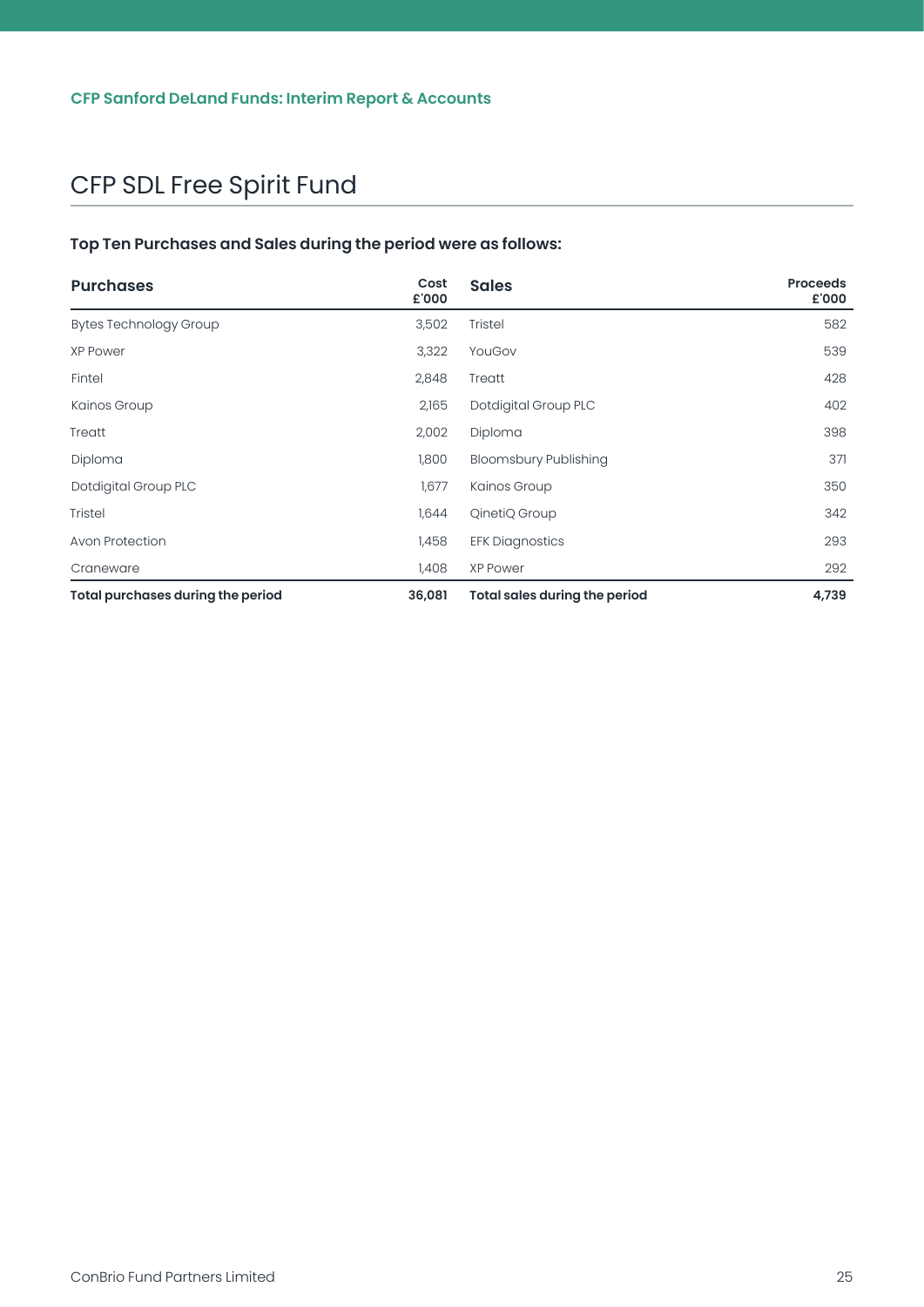#### <span id="page-25-0"></span>**Top Ten Purchases and Sales during the period were as follows:**

| <b>Purchases</b>                  | Cost<br>£'000 | <b>Sales</b>                         | <b>Proceeds</b><br>£'000 |
|-----------------------------------|---------------|--------------------------------------|--------------------------|
| <b>Bytes Technology Group</b>     | 3,502         | Tristel                              | 582                      |
| <b>XP Power</b>                   | 3,322         | YouGov                               | 539                      |
| Fintel                            | 2,848         | Treatt                               | 428                      |
| Kainos Group                      | 2,165         | Dotdigital Group PLC                 | 402                      |
| Treatt                            | 2,002         | Diploma                              | 398                      |
| Diploma                           | 1,800         | <b>Bloomsbury Publishing</b>         | 371                      |
| Dotdigital Group PLC              | 1,677         | Kainos Group                         | 350                      |
| <b>Tristel</b>                    | 1,644         | QinetiQ Group                        | 342                      |
| Avon Protection                   | 1,458         | <b>EFK Diagnostics</b>               | 293                      |
| Craneware                         | 1,408         | <b>XP Power</b>                      | 292                      |
| Total purchases during the period | 36,081        | <b>Total sales during the period</b> | 4,739                    |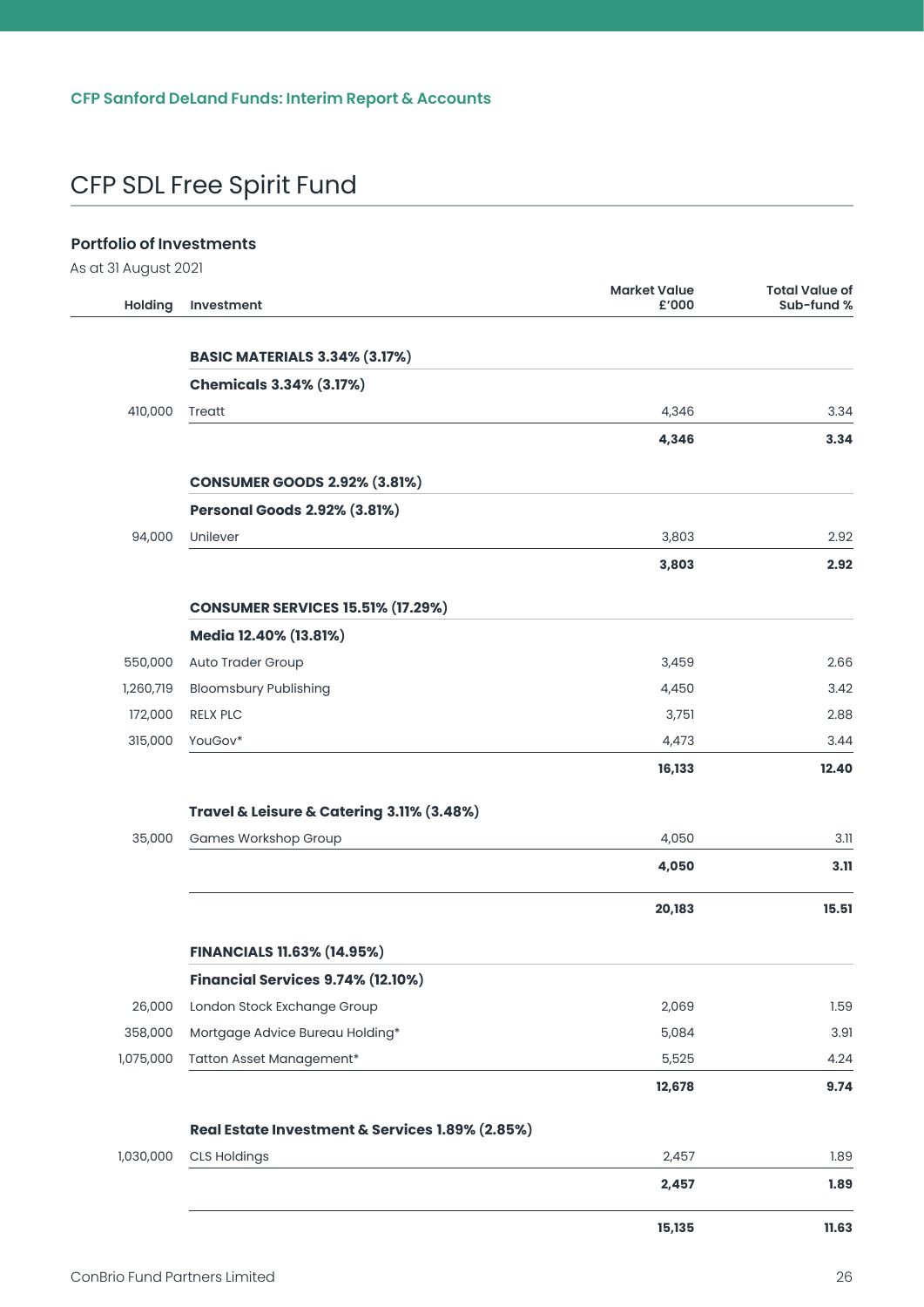#### <span id="page-26-0"></span>**Portfolio of Investments**

As at 31 August 2021

| <b>Holding</b> | Investment                                      | <b>Market Value</b><br>£'000 | <b>Total Value of</b><br>Sub-fund % |
|----------------|-------------------------------------------------|------------------------------|-------------------------------------|
|                |                                                 |                              |                                     |
|                | <b>BASIC MATERIALS 3.34% (3.17%)</b>            |                              |                                     |
|                | <b>Chemicals 3.34% (3.17%)</b>                  |                              |                                     |
| 410,000        | Treatt                                          | 4,346                        | 3.34                                |
|                |                                                 | 4,346                        | 3.34                                |
|                | <b>CONSUMER GOODS 2.92% (3.81%)</b>             |                              |                                     |
|                | <b>Personal Goods 2.92% (3.81%)</b>             |                              |                                     |
| 94,000         | Unilever                                        | 3,803                        | 2.92                                |
|                |                                                 | 3,803                        | 2.92                                |
|                | <b>CONSUMER SERVICES 15.51% (17.29%)</b>        |                              |                                     |
|                | Media 12.40% (13.81%)                           |                              |                                     |
| 550,000        | Auto Trader Group                               | 3,459                        | 2.66                                |
| 1,260,719      | <b>Bloomsbury Publishing</b>                    | 4,450                        | 3.42                                |
| 172,000        | <b>RELX PLC</b>                                 | 3,751                        | 2.88                                |
| 315,000        | YouGov*                                         | 4,473                        | 3.44                                |
|                |                                                 | 16,133                       | 12.40                               |
|                | Travel & Leisure & Catering 3.11% (3.48%)       |                              |                                     |
| 35,000         | Games Workshop Group                            | 4,050                        | 3.11                                |
|                |                                                 | 4,050                        | 3.11                                |
|                |                                                 | 20,183                       | 15.51                               |
|                | <b>FINANCIALS 11.63% (14.95%)</b>               |                              |                                     |
|                | Financial Services 9.74% (12.10%)               |                              |                                     |
| 26,000         | London Stock Exchange Group                     | 2,069                        | 1.59                                |
| 358,000        | Mortgage Advice Bureau Holding*                 | 5,084                        | 3.91                                |
| 1,075,000      | Tatton Asset Management*                        | 5,525                        | 4.24                                |
|                |                                                 | 12,678                       | 9.74                                |
|                | Real Estate Investment & Services 1.89% (2.85%) |                              |                                     |
| 1,030,000      | <b>CLS Holdings</b>                             | 2,457                        | 1.89                                |
|                |                                                 | 2,457                        | 1.89                                |
|                |                                                 | 15,135                       | 11.63                               |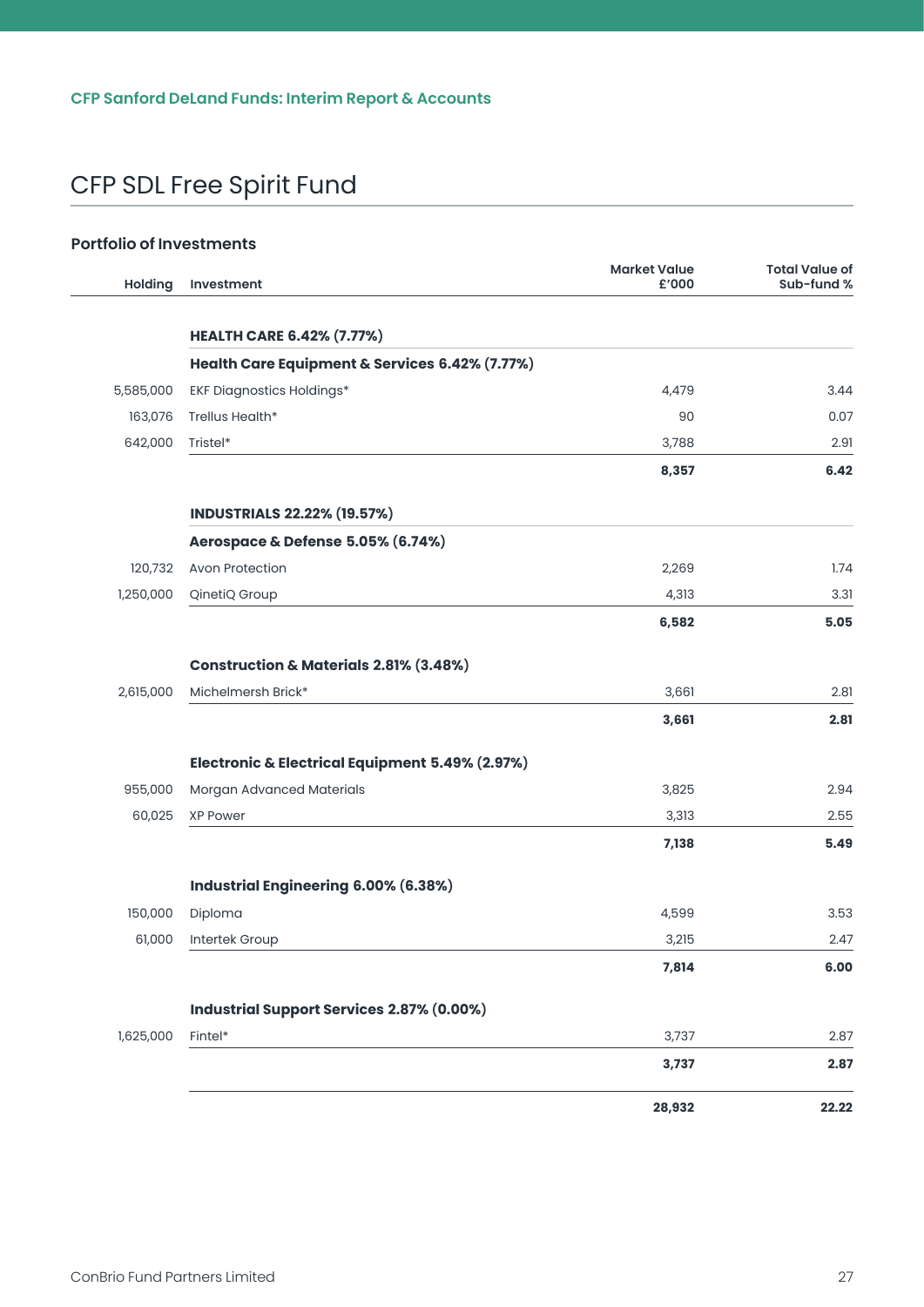#### **Portfolio of Investments**

| Holding   | Investment                                        | <b>Market Value</b><br>£'000 | <b>Total Value of</b><br>Sub-fund % |
|-----------|---------------------------------------------------|------------------------------|-------------------------------------|
|           |                                                   |                              |                                     |
|           | <b>HEALTH CARE 6.42% (7.77%)</b>                  |                              |                                     |
|           | Health Care Equipment & Services 6.42% (7.77%)    |                              |                                     |
| 5,585,000 | <b>EKF Diagnostics Holdings*</b>                  | 4,479                        | 3.44                                |
| 163,076   | Trellus Health*                                   | 90                           | 0.07                                |
| 642,000   | Tristel*                                          | 3,788                        | 2.91                                |
|           |                                                   | 8,357                        | 6.42                                |
|           | <b>INDUSTRIALS 22.22% (19.57%)</b>                |                              |                                     |
|           | Aerospace & Defense 5.05% (6.74%)                 |                              |                                     |
| 120,732   | <b>Avon Protection</b>                            | 2,269                        | 1.74                                |
| 1,250,000 | QinetiQ Group                                     | 4,313                        | 3.31                                |
|           |                                                   | 6,582                        | 5.05                                |
|           | <b>Construction &amp; Materials 2.81% (3.48%)</b> |                              |                                     |
| 2,615,000 | Michelmersh Brick*                                | 3,661                        | 2.81                                |
|           |                                                   | 3,661                        | 2.81                                |
|           | Electronic & Electrical Equipment 5.49% (2.97%)   |                              |                                     |
| 955,000   | Morgan Advanced Materials                         | 3,825                        | 2.94                                |
| 60,025    | <b>XP Power</b>                                   | 3,313                        | 2.55                                |
|           |                                                   | 7,138                        | 5.49                                |
|           | Industrial Engineering 6.00% (6.38%)              |                              |                                     |
| 150,000   | Diploma                                           | 4,599                        | 3.53                                |
| 61,000    | Intertek Group                                    | 3,215                        | 2.47                                |
|           |                                                   | 7,814                        | 6.00                                |
|           | Industrial Support Services 2.87% (0.00%)         |                              |                                     |
| 1,625,000 | Fintel*                                           | 3,737                        | 2.87                                |
|           |                                                   | 3,737                        | 2.87                                |
|           |                                                   | 28,932                       | 22.22                               |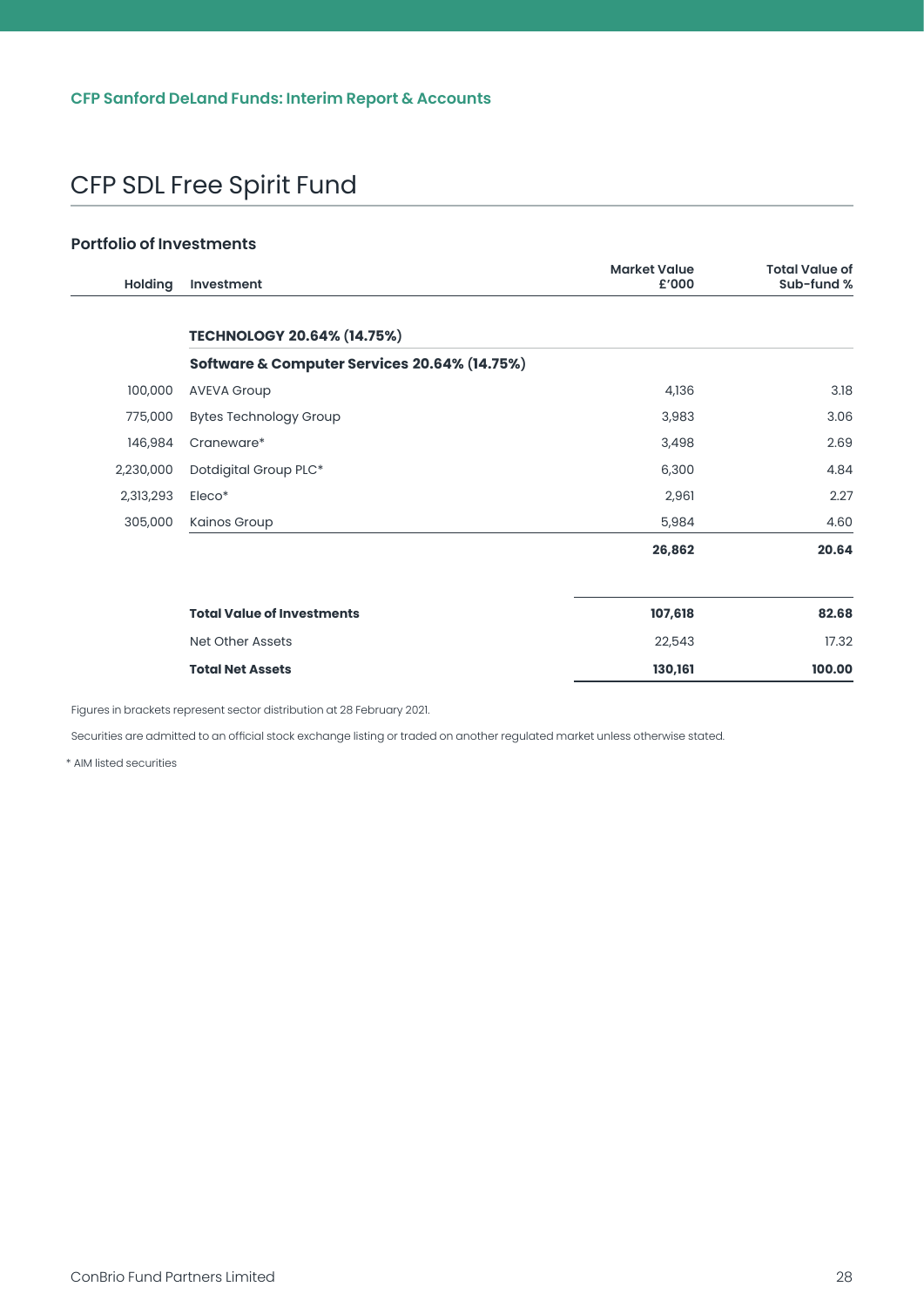#### **Portfolio of Investments**

| <b>Holding</b> | Investment                                   | <b>Market Value</b><br>£'000 | <b>Total Value of</b><br>Sub-fund % |
|----------------|----------------------------------------------|------------------------------|-------------------------------------|
|                | <b>TECHNOLOGY 20.64% (14.75%)</b>            |                              |                                     |
|                | Software & Computer Services 20.64% (14.75%) |                              |                                     |
| 100,000        | <b>AVEVA Group</b>                           | 4,136                        | 3.18                                |
| 775,000        | <b>Bytes Technology Group</b>                | 3,983                        | 3.06                                |
| 146,984        | Craneware*                                   | 3,498                        | 2.69                                |
| 2,230,000      | Dotdigital Group PLC*                        | 6,300                        | 4.84                                |
| 2,313,293      | Eleco*                                       | 2,961                        | 2.27                                |
| 305,000        | Kainos Group                                 | 5,984                        | 4.60                                |
|                |                                              | 26,862                       | 20.64                               |
|                | <b>Total Value of Investments</b>            | 107,618                      | 82.68                               |
|                | <b>Net Other Assets</b>                      | 22,543                       | 17.32                               |
|                | <b>Total Net Assets</b>                      | 130,161                      | 100.00                              |

Figures in brackets represent sector distribution at 28 February 2021.

Securities are admitted to an official stock exchange listing or traded on another regulated market unless otherwise stated.

\* AIM listed securities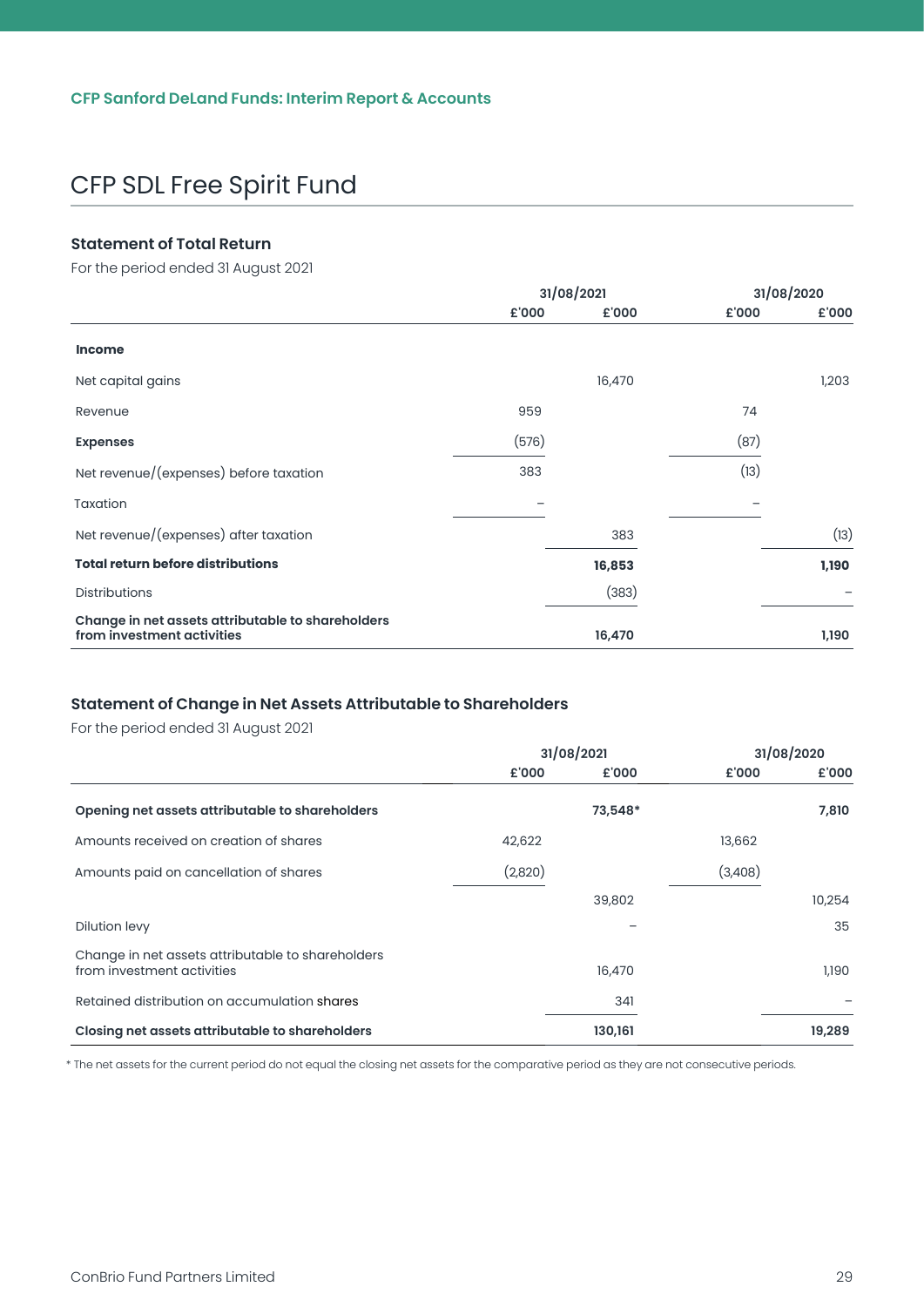#### <span id="page-29-0"></span>**Statement of Total Return**

For the period ended 31 August 2021

|                                                                                 | 31/08/2021 |        | 31/08/2020 |       |
|---------------------------------------------------------------------------------|------------|--------|------------|-------|
|                                                                                 | £'000      | £'000  | £'000      | £'000 |
| <b>Income</b>                                                                   |            |        |            |       |
| Net capital gains                                                               |            | 16,470 |            | 1,203 |
| Revenue                                                                         | 959        |        | 74         |       |
| <b>Expenses</b>                                                                 | (576)      |        | (87)       |       |
| Net revenue/(expenses) before taxation                                          | 383        |        | (13)       |       |
| Taxation                                                                        |            |        |            |       |
| Net revenue/(expenses) after taxation                                           |            | 383    |            | (13)  |
| <b>Total return before distributions</b>                                        |            | 16,853 |            | 1,190 |
| Distributions                                                                   |            | (383)  |            |       |
| Change in net assets attributable to shareholders<br>from investment activities |            | 16,470 |            | 1,190 |

#### **Statement of Change in Net Assets Attributable to Shareholders**

For the period ended 31 August 2021

|                                                                                 | 31/08/2021 |         |         | 31/08/2020 |  |
|---------------------------------------------------------------------------------|------------|---------|---------|------------|--|
|                                                                                 | £'000      | £'000   | £'000   | £'000      |  |
| Opening net assets attributable to shareholders                                 |            | 73,548* |         | 7,810      |  |
| Amounts received on creation of shares                                          | 42,622     |         | 13,662  |            |  |
| Amounts paid on cancellation of shares                                          | (2,820)    |         | (3,408) |            |  |
|                                                                                 |            | 39,802  |         | 10,254     |  |
| Dilution levy                                                                   |            |         |         | 35         |  |
| Change in net assets attributable to shareholders<br>from investment activities |            | 16,470  |         | 1,190      |  |
| Retained distribution on accumulation shares                                    |            | 341     |         |            |  |
| Closing net assets attributable to shareholders                                 |            | 130,161 |         | 19,289     |  |

\* The net assets for the current period do not equal the closing net assets for the comparative period as they are not consecutive periods.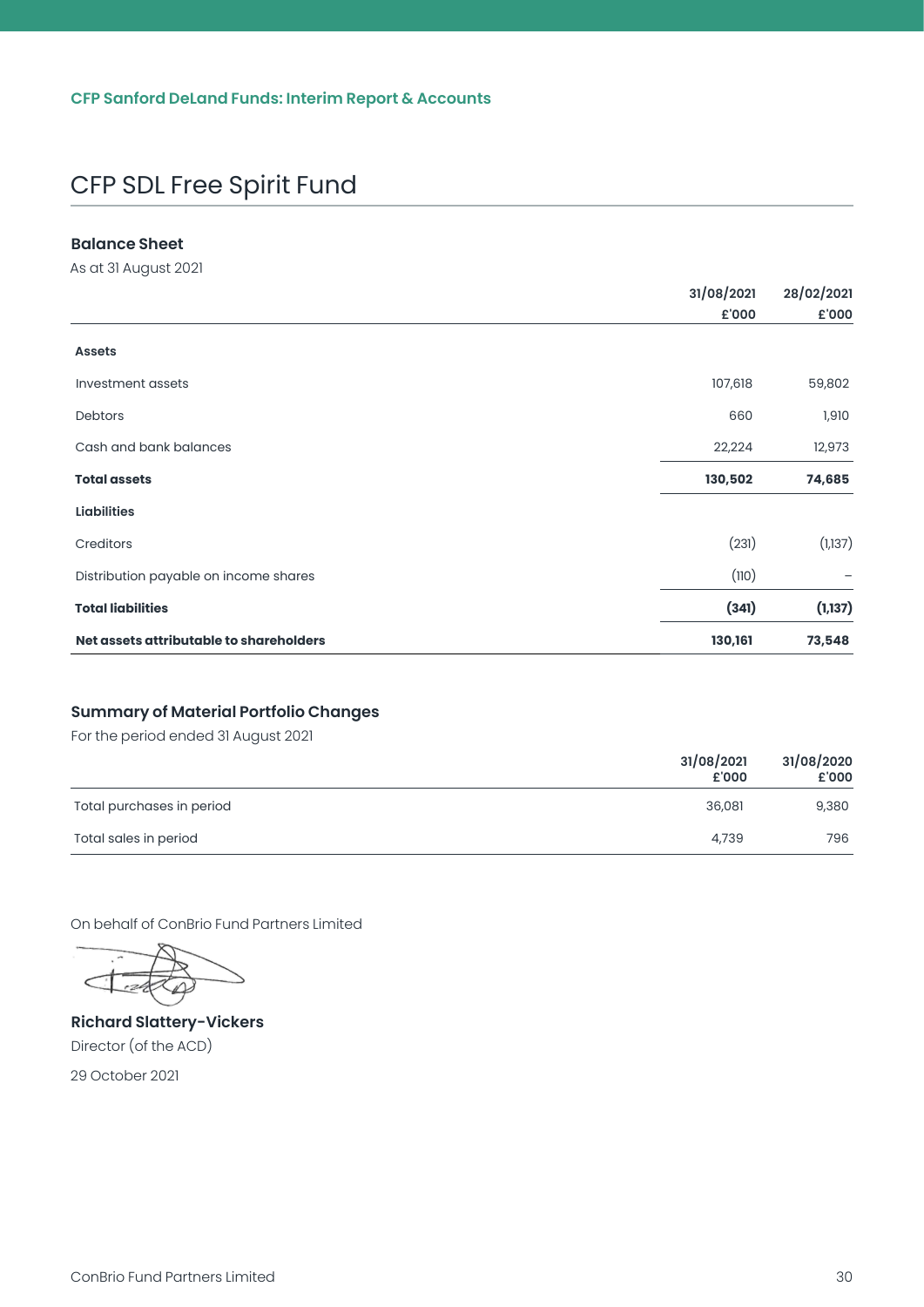#### <span id="page-30-0"></span>**Balance Sheet**

As at 31 August 2021

|                                         | 31/08/2021 | 28/02/2021 |
|-----------------------------------------|------------|------------|
|                                         | £'000      | £'000      |
| <b>Assets</b>                           |            |            |
| Investment assets                       | 107,618    | 59,802     |
| Debtors                                 | 660        | 1,910      |
| Cash and bank balances                  | 22,224     | 12,973     |
| <b>Total assets</b>                     | 130,502    | 74,685     |
| <b>Liabilities</b>                      |            |            |
| Creditors                               | (231)      | (1,137)    |
| Distribution payable on income shares   | (110)      |            |
| <b>Total liabilities</b>                | (341)      | (1, 137)   |
| Net assets attributable to shareholders | 130,161    | 73,548     |

#### **Summary of Material Portfolio Changes**

For the period ended 31 August 2021

|                           | 31/08/2021<br>£'000 | 31/08/2020<br>£'000 |
|---------------------------|---------------------|---------------------|
| Total purchases in period | 36,081              | 9,380               |
| Total sales in period     | 4,739               | 796                 |

On behalf of ConBrio Fund Partners Limited

**Richard Slattery-Vickers** Director (of the ACD)

29 October 2021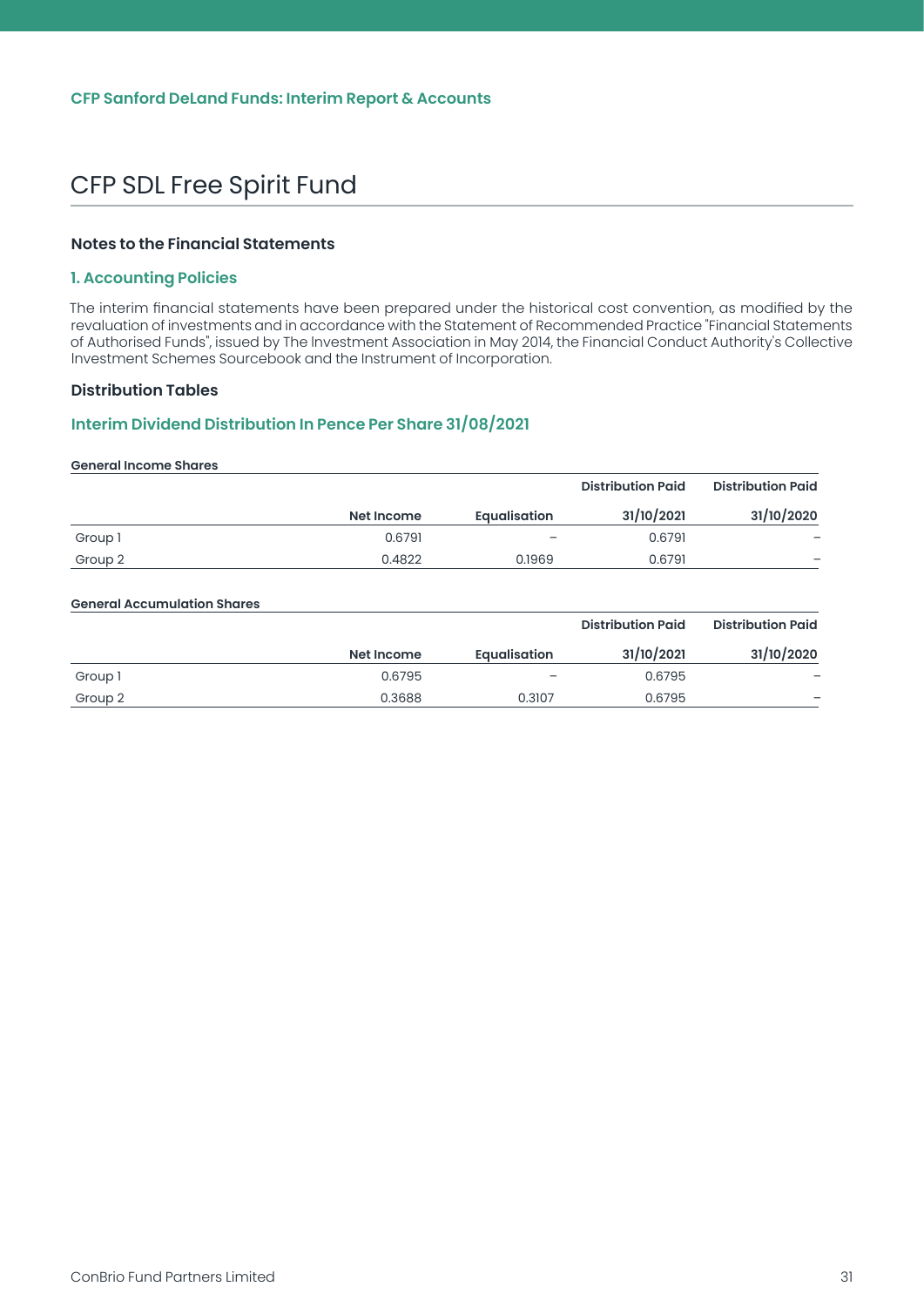#### <span id="page-31-0"></span>**Notes to the Financial Statements**

#### **1. Accounting Policies**

The interim financial statements have been prepared under the historical cost convention, as modified by the revaluation of investments and in accordance with the Statement of Recommended Practice "Financial Statements of Authorised Funds", issued by The lnvestment Association in May 2014, the Financial Conduct Authority's Collective lnvestment Schemes Sourcebook and the Instrument of Incorporation.

#### **Distribution Tables**

#### **Interim Dividend Distribution In Pence Per Share 31/08/2021**

#### **General Income Shares Net Income Equalisation Distribution Paid 31/10/2021 Distribution Paid 31/10/2020** Group 1 0.6791 0.6791 — Group 2 0.4822 0.1969 0.6791 –

#### **General Accumulation Shares**

|         |            |                          | <b>Distribution Paid</b> | <b>Distribution Paid</b> |
|---------|------------|--------------------------|--------------------------|--------------------------|
|         | Net Income | <b>Equalisation</b>      | 31/10/2021               | 31/10/2020               |
| Group 1 | 0.6795     | $\overline{\phantom{0}}$ | 0.6795                   | -                        |
| Group 2 | 0.3688     | 0.3107                   | 0.6795                   | $\overline{\phantom{0}}$ |